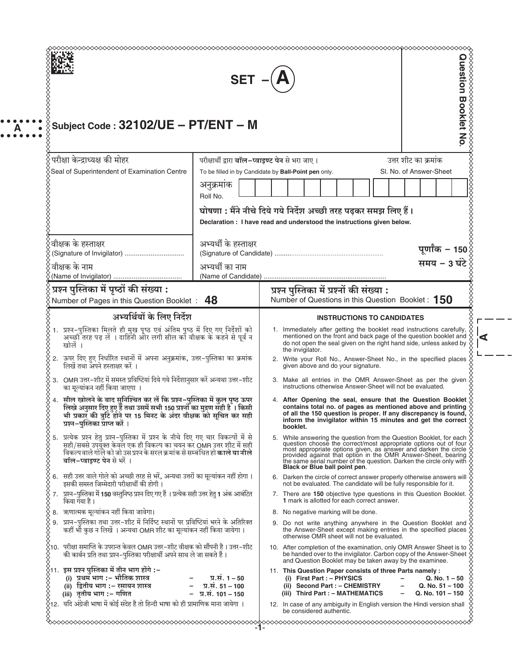| Subject Code: 32102/UE - PT/ENT - M                                                                                                                                                                                                                                                                            | <b>SET</b>                                                  | <b>Duestion Booklet No</b>                                                                                                                                                                                                                                                                                                                                                                                       |
|----------------------------------------------------------------------------------------------------------------------------------------------------------------------------------------------------------------------------------------------------------------------------------------------------------------|-------------------------------------------------------------|------------------------------------------------------------------------------------------------------------------------------------------------------------------------------------------------------------------------------------------------------------------------------------------------------------------------------------------------------------------------------------------------------------------|
| परीक्षा केन्द्राध्यक्ष की मोहर                                                                                                                                                                                                                                                                                 | परीक्षार्थी द्वारा बॉल-प्वाइण्ट पेन से भरा जाए।             | उत्तर शीट का क्रमांक                                                                                                                                                                                                                                                                                                                                                                                             |
| Seal of Superintendent of Examination Centre                                                                                                                                                                                                                                                                   |                                                             | SI. No. of Answer-Sheet<br>To be filled in by Candidate by Ball-Point pen only.                                                                                                                                                                                                                                                                                                                                  |
|                                                                                                                                                                                                                                                                                                                | अनुक्रमाक<br>Roll No.                                       |                                                                                                                                                                                                                                                                                                                                                                                                                  |
|                                                                                                                                                                                                                                                                                                                |                                                             | घोषणा : मैंने नीचे दिये गये निर्देश अच्छी तरह पढ़कर समझ लिए हैं।<br>Declaration: I have read and understood the instructions given below.                                                                                                                                                                                                                                                                        |
| वीक्षक के हस्ताक्षर<br>(Signature of Invigilator)                                                                                                                                                                                                                                                              | अभ्यर्थी के हस्ताक्षर                                       | पूर्णांक - 150<br>समय - 3 घंटे                                                                                                                                                                                                                                                                                                                                                                                   |
| ंवीक्षक के नाम                                                                                                                                                                                                                                                                                                 | अभ्यर्थी का नाम<br>(Name of Candidate)                      |                                                                                                                                                                                                                                                                                                                                                                                                                  |
| प्रश्न पुस्तिका में पृष्ठों की संख्या :<br>Number of Pages in this Question Booklet: 48                                                                                                                                                                                                                        |                                                             | प्रश्न पुस्तिका में प्रश्नों की संख्या :<br>Number of Questions in this Question Booklet: 150                                                                                                                                                                                                                                                                                                                    |
| अभ्यर्थियों के लिए निर्देश                                                                                                                                                                                                                                                                                     |                                                             | <b>INSTRUCTIONS TO CANDIDATES</b>                                                                                                                                                                                                                                                                                                                                                                                |
| ।.  प्रश्न-पुस्तिका मिलते ही मुख पृष्ठ एवं अंतिम पृष्ठ में दिए गए निर्देशों को<br>अच्छी तरह पढ़ लें । दाहिनी ओर लगी सील को वीक्षक के कहने से पूर्व न<br>खोलें ।                                                                                                                                                |                                                             | 1. Immediately after getting the booklet read instructions carefully,<br>mentioned on the front and back page of the question booklet and<br>do not open the seal given on the right hand side, unless asked by<br>the invigilator.                                                                                                                                                                              |
| 2. ऊपर दिए हुए निर्धारित स्थानों में अपना अनुक्रमांक, उत्तर-पुस्तिका का क्रमांक<br>लिखें तथा अपने हस्ताक्षर करें ।                                                                                                                                                                                             |                                                             | 2. Write your Roll No., Answer-Sheet No., in the specified places<br>given above and do your signature.                                                                                                                                                                                                                                                                                                          |
| 3. OMR उत्तर-शीट में समस्त प्रविष्टियां दिये गये निर्देशानुसार करें अन्यथा उत्तर-शीट<br>का मूल्यांकन नहीं किया जाएगा                                                                                                                                                                                           |                                                             | 3. Make all entries in the OMR Answer-Sheet as per the given<br>instructions otherwise Answer-Sheet will not be evaluated.                                                                                                                                                                                                                                                                                       |
| 4.   सील खोलने के बाद सुनिश्चित कर लें कि प्रश्न–पुस्तिका में कुल पृष्ठ ऊपर<br>लिखे अनुसार दिए हुए हैं तथा उसमें सभी 150 प्रश्नों का मुद्रण सही है । किसी<br>भी प्रकार की त्रुटि होने पर 15 मिनट के अंदर वीक्षक को सूचित कर सही<br>प्रश्न–पुस्तिका प्राप्त करें ।                                              |                                                             | 4. After Opening the seal, ensure that the Question Booklet $\&$<br>contains total no. of pages as mentioned above and printing $\diamondsuit$ of all the 150 question is proper. If any discrepancy is found, $\diamondsuit$<br>inform the invigilator within 15 minutes and get the correct<br>booklet.                                                                                                        |
| \$\$\$\$\$\$\$\$\$\$\$\$\$\$<br>5. प्रत्येक प्रश्न हेतु प्रश्न-पुस्तिका में प्रश्न के नीचे दिए गए चार विकल्पों में से<br>सही/सबसे उपयुक्त केवल एक ही विकल्प का चयन कर OMR उत्तर शीट में सही<br>विकल्पवाले गोले को जो उस प्रश्न के सरल क्रमांक से सम्बंधित हो <b>काले या नीले</b><br>बॉल-प्वाइण्ट पेन से भरें । |                                                             | 5. While answering the question from the Question Booklet, for each $\hat{\chi}$<br>question choose the correct/most appropriate options out of four most appropriate options given, as answer and darken the circle<br>provided against that option in the OMR Answer-Sheet, bearing $\Diamond$ the same serial number of the question. Darken the circle only with $\Diamond$<br>Black or Blue ball point pen. |
| 6. सही उत्तर वाले गोले को अच्छी तरह से भरें, अन्यथा उत्तरों का मूल्यांकन नहीं होगा।<br>88888888<br>इसकी समस्त जिम्मेदारी परीक्षार्थी की होगी।                                                                                                                                                                  |                                                             | 6. Darken the circle of correct answer properly otherwise answers will<br>not be evaluated. The candidate will be fully responsible for it.                                                                                                                                                                                                                                                                      |
| 7. प्रश्न-पुस्तिका में 150 वस्तुनिष्ठ प्रश्न दिए गए हैं । प्रत्येक सही उत्तर हेतु 1 अंक आबंटित<br>किया गया है।                                                                                                                                                                                                 |                                                             | 7. There are 150 objective type questions in this Question Booklet.<br>1 mark is allotted for each correct answer.                                                                                                                                                                                                                                                                                               |
| 8. ऋणात्मक मूल्यांकन नहीं किया जावेगा।<br>9.  प्रश्न–पुस्तिका तथा उत्तर–शीट में निर्दिष्ट स्थानों पर प्रविष्टियां भरने के अतिरिक्त<br>कहीं भी कुछ न लिखें । अन्यथा OMR शीट का मूल्यांकन नहीं किया जायेगा ।                                                                                                     |                                                             | 8. No negative marking will be done.<br>9. Do not write anything anywhere in the Question Booklet and<br>the Answer-Sheet except making entries in the specified places<br>otherwise OMR sheet will not be evaluated.                                                                                                                                                                                            |
| $\hat{\times}$ 10.  परीक्षा समाप्ति के उपरान्त केवल OMR उत्तर–शीट वीक्षक को सौंपनी है । उत्तर–शीट                                                                                                                                                                                                              |                                                             | 10. After completion of the examination, only OMR Answer Sheet is to<br>be handed over to the invigilator. Carbon copy of the Answer-Sheet<br>and Question Booklet may be taken away by the examinee.                                                                                                                                                                                                            |
| की कार्बन प्रति तथा प्रश्न–पुस्तिका परीक्षार्थी अपने साथ ले जा सकते हैं।                                                                                                                                                                                                                                       |                                                             |                                                                                                                                                                                                                                                                                                                                                                                                                  |
| $\breve{\times}$ 12.  यदि अंग्रेजी भाषा में कोई संदेह है तो हिन्दी भाषा को ही प्रामाणिक माना जायेगा ।                                                                                                                                                                                                          | प्र.सं. 1 – 50<br>प्र.सं. 51 – 100<br>$-$ प्र.सं. 101 – 150 | 11. This Question Paper consists of three Parts namely :<br>$(i)$ First Part : $-$ PHYSICS<br>$Q. No. 1 - 50$<br>(ii) Second Part : - CHEMISTRY<br>$Q. No. 51 - 100$<br>(iii) Third Part : - MATHEMATICS<br>$Q. No. 101 - 150$                                                                                                                                                                                   |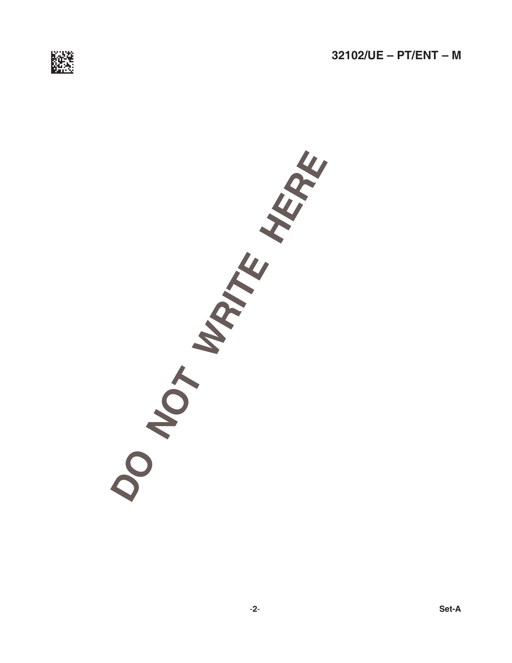

**OT WATE HERE**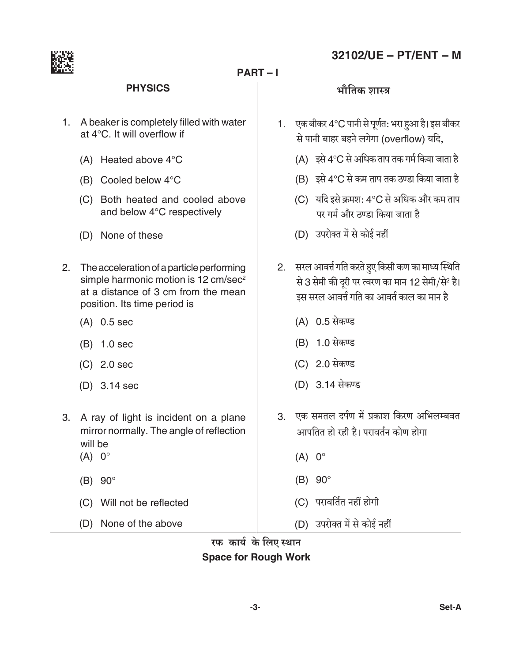

#### $PART - I$

# 32102/UE - PT/ENT - M

#### **PHYSICS**

- 1. A beaker is completely filled with water at 4°C. It will overflow if
	- (A) Heated above 4°C
	- (B) Cooled below 4°C
	- (C) Both heated and cooled above and below 4°C respectively
	- (D) None of these
- 2. The acceleration of a particle performing simple harmonic motion is 12 cm/sec<sup>2</sup> at a distance of 3 cm from the mean position. Its time period is
	- $(A)$  0.5 sec
	- $(B)$  1.0 sec
	- $(C)$  2.0 sec
	- $(D)$  3.14 sec
- 3. A ray of light is incident on a plane mirror normally. The angle of reflection will be
	- $(A) 0^\circ$
	- $(B)$  90°
	- (C) Will not be reflected
	- (D) None of the above

#### भौतिक शास्त्र

- 1. एक बीकर 4°C पानी से पूर्णत: भरा हुआ है। इस बीकर से पानी बाहर बहने लगेगा (overflow) यदि.
	- (A) इसे 4°C से अधिक ताप तक गर्म किया जाता है
	- (B) इसे 4°C से कम ताप तक ठण्डा किया जाता है
	- (C) यदि इसे क्रमश: 4°C से अधिक और कम ताप पर गर्म और ठण्डा किया जाता है
	- (D) उपरोक्त में से कोई नहीं
- 2. सरल आवर्त्त गति करते हुए किसी कण का माध्य स्थिति से 3 सेमी की दूरी पर त्वरण का मान 12 सेमी/से<sup>2</sup> है। इस सरल आवर्त्त गति का आवर्त काल का मान है
	- (A) 0.5 सेकण्ड
	- (B) 1.0 सेकण्ड
	- (C) 2.0 सेकण्ड
	- (D) 3.14 सेकण्ड
- 3 एक समतल दर्पण में प्रकाश किरण अभिलम्बवत आपतित हो रही है। परावर्तन कोण होगा
	- $(A) 0^\circ$
	- $(B)$  90 $^{\circ}$
	- (C) परावर्तित नहीं होगी
	- (D) उपरोक्त में से कोई नहीं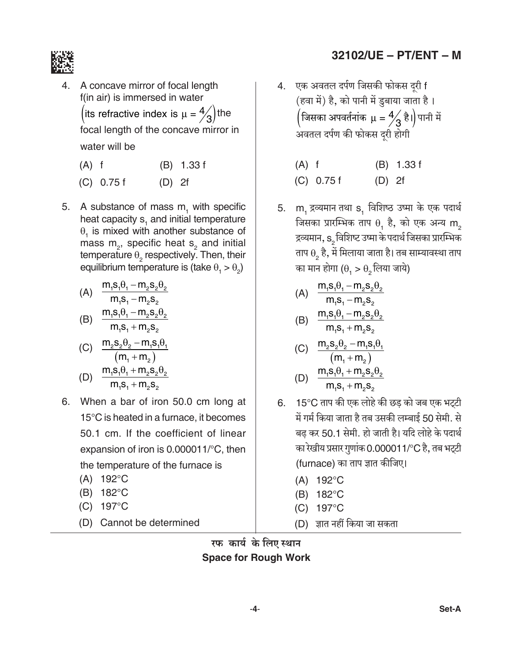

- A concave mirror of focal length f(in air) is immersed in water (its refractive index is  $\mu = \frac{4}{3}$ ) the focal length of the concave mirror in water will be
	- $(A)$  f  $(B)$  1.33 f
	- $(C)$  0.75 f  $(D) 2f$
- 5. A substance of mass m, with specific heat capacity s, and initial temperature  $\theta$ <sub>1</sub> is mixed with another substance of mass  $m_{2}$ , specific heat  $s_{2}$  and initial temperature  $\theta$ , respectively. Then, their equilibrium temperature is (take  $\theta$ ,  $> \theta$ )

(A) 
$$
\frac{m_1 s_1 \theta_1 - m_2 s_2 \theta_2}{m_1 s_1 - m_2 s_2}
$$
  
\n(B) 
$$
\frac{m_1 s_1 \theta_1 - m_2 s_2 \theta_2}{m_1 s_1 + m_2 s_2}
$$
  
\n(C) 
$$
\frac{m_2 s_2 \theta_2 - m_1 s_1 \theta_1}{m_2 s_2}
$$

(D) 
$$
\frac{(m_1 + m_2)}{m_1 s_1 + m_2 s_2 \theta_2}
$$
  
(D) 
$$
\frac{m_1 s_1 + m_2 s_2}{m_1 s_1 + m_2 s_2}
$$

- 6. When a bar of iron 50.0 cm long at  $15^{\circ}$ C is heated in a furnace, it becomes 50.1 cm. If the coefficient of linear expansion of iron is  $0.000011$ <sup>o</sup>C, then the temperature of the furnace is
	- $(A) 192^{\circ}C$
	- (B) 182°C
	- (C) 197°C
	- (D) Cannot be determined
- 32102/UE PT/ENT M
- 4. एक अवतल दर्पण जिसकी फोकस दरी f (हवा में) है, को पानी में डुबाया जाता है।  $\left($ जिसका अपवर्तनांक  $\mu = \frac{4}{3}$  है। $\right)$ पानी में अवतल दर्पण की फोकस दूरी होगी
	- $(A)$  f  $(B)$  1.33 f  $(C)$  0.75 f  $(D)$  2f
- $m_1$  द्रव्यमान तथा  $s_1$  विशिष्ठ उष्मा के एक पदार्थ 5. जिसका प्रारम्भिक ताप  $\theta_1$  है, को एक अन्य  $\mathsf{m}_2$ द्रव्यमान, s, विशिष्ट उष्मा के पदार्थ जिसका प्रारम्भिक ताप  $\theta$ , है, में मिलाया जाता है। तब साम्यावस्था ताप का मान होगा ( $\theta$ , >  $\theta$ , लिया जाये)

(A) 
$$
\frac{m_1 s_1 \theta_1 - m_2 s_2 \theta_2}{m_1 s_1 - m_2 s_2}
$$
  
(B) 
$$
\frac{m_1 s_1 \theta_1 - m_2 s_2 \theta_2}{m_1 s_1 + m_2 s_2}
$$

(C) 
$$
\frac{m_2 s_2 \theta_2 - m_1 s_1 \theta_1}{(m_1 + m_2)}
$$

(D) 
$$
\frac{m_1 s_1 \theta_1 + m_2 s_2 \theta_2}{m_1 s_1 + m_2 s_2}
$$

- 6. 15°C ताप की एक लोहे की छड़ को जब एक भट्टी में गर्म किया जाता है तब उसकी लम्बाई 50 सेमी. से बढ कर 50.1 सेमी. हो जाती है। यदि लोहे के पदार्थ का रेखीय प्रसार गुणांक 0.000011/°C है, तब भट्टी (furnace) का ताप ज्ञात कीजिए।
	- $(A) 192^{\circ}C$
	- (B) 182°C
	- (C) 197°C
	- (D) ज्ञात नहीं किया जा सकता

रफ कार्य के लिए स्थान **Space for Rough Work**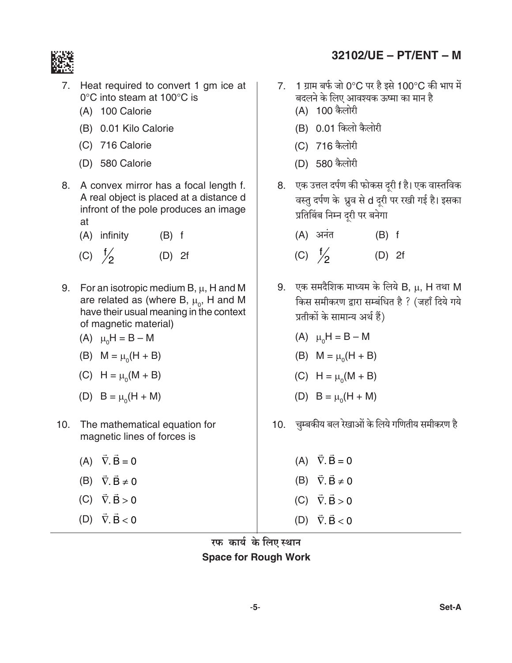

- Heat required to convert 1 gm ice at 7.  $0^{\circ}$ C into steam at 100 $^{\circ}$ C is
	- (A) 100 Calorie
	- (B) 0.01 Kilo Calorie
	- (C) 716 Calorie
	- (D) 580 Calorie
- 8. A convex mirror has a focal length f. A real object is placed at a distance d infront of the pole produces an image at
	- $(A)$  infinity  $(B)$  f (C)  $\frac{f}{2}$  $(D) 2f$
- 9. For an isotropic medium B,  $\mu$ , H and M are related as (where B,  $\mu_{0}$ , H and M have their usual meaning in the context of magnetic material)
	- (A)  $\mu_0 H = B M$
	- (B)  $M = \mu_0(H + B)$
	- (C)  $H = \mu_0(M + B)$
	- (D)  $B = \mu_0(H + M)$
- 10. The mathematical equation for magnetic lines of forces is
	- (A)  $\vec{\nabla} \cdot \vec{B} = 0$
	- (B)  $\vec{\nabla} \cdot \vec{B} \neq 0$
	- $(C)$   $\vec{\nabla} \cdot \vec{B} > 0$
	- (D)  $\vec{\nabla} \cdot \vec{B} < 0$

7. 1 ग्राम बर्फ जो 0°C पर है इसे 100°C की भाप में बदलने के लिए आवश्यक ऊष्मा का मान है (A) 100 कैलोरी

32102/UE - PT/ENT - M

- (B) 0.01 किलो कैलोरी
- (C) 716 कैलोरी
- (D) 580 कैलोरी
- 8. एक उत्तल दर्पण की फोकस दूरी f है। एक वास्तविक वस्तु दर्पण के ध्रुव से d दरी पर रखी गई है। इसका प्रतिबिंब निम्न दूरी पर बनेगा
	- $(A)$  अनंत  $(B)$  f (C)  $\frac{f}{2}$  $(D)$  2f
- 9. एक समदैशिक माध्यम के लिये B,  $\mu$ , H तथा M किस समीकरण द्वारा सम्बंधित है ? (जहाँ दिये गये प्रतीकों के सामान्य अर्थ हैं)
	- (A)  $\mu_0 H = B M$
	- (B)  $M = \mu_0(H + B)$
	- (C)  $H = \mu_0(M + B)$
	- (D)  $B = \mu_0(H + M)$
- 10. चुम्बकीय बल रेखाओं के लिये गणितीय समीकरण है
	- (A)  $\vec{\nabla} \cdot \vec{B} = 0$ (B)  $\vec{\nabla} \cdot \vec{B} \neq 0$  $(C)$   $\vec{\nabla} \cdot \vec{B} > 0$ (D)  $\vec{\nabla} \cdot \vec{B} < 0$

रफ कार्य के लिए स्थान **Space for Rough Work**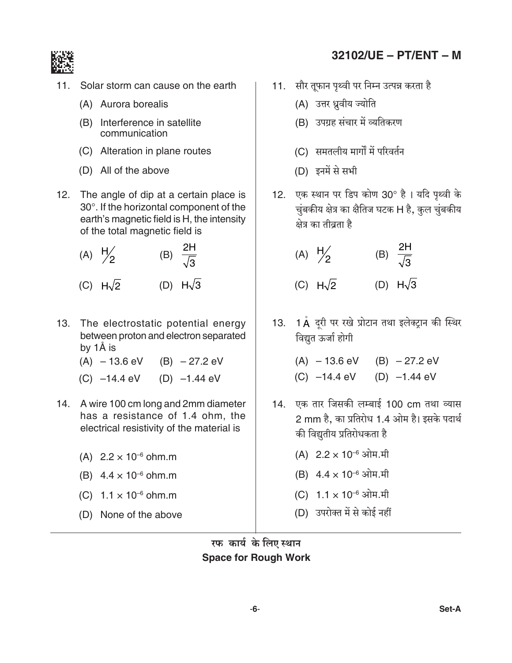

- $11.$ Solar storm can cause on the earth
	- (A) Aurora borealis
	- (B) Interference in satellite communication
	- (C) Alteration in plane routes
	- (D) All of the above
- 12. The angle of dip at a certain place is 30°. If the horizontal component of the earth's magnetic field is H, the intensity of the total magnetic field is

(A) 
$$
\frac{H}{2}
$$
 (B)  $\frac{2H}{\sqrt{3}}$   
(C)  $H\sqrt{2}$  (D)  $H\sqrt{3}$ 

- 13. The electrostatic potential energy between proton and electron separated by 1Å is
	- $(A) 13.6$  eV  $(B) -27.2$  eV
	- $(C)$  -14.4 eV  $(D)$  -1.44 eV
- 14. A wire 100 cm long and 2mm diameter has a resistance of 1.4 ohm, the electrical resistivity of the material is
	- (A)  $2.2 \times 10^{-6}$  ohm.m
	- (B)  $4.4 \times 10^{-6}$  ohm.m
	- (C)  $1.1 \times 10^{-6}$  ohm.m
	- (D) None of the above

# 32102/UE - PT/ENT - M

- 11. सौर तुफान पृथ्वी पर निम्न उत्पन्न करता है
	- (A) उत्तर ध्रुवीय ज्योति
	- (B) उपग्रह संचार में व्यतिकरण
	- (C) समतलीय मार्गों में परिवर्तन
	- (D) इनमें से सभी
- 12. एक स्थान पर डिप कोण 30° है। यदि पृथ्वी के चुंबकीय क्षेत्र का क्षैतिज घटक H है, कुल चुंबकीय क्षेत्र का तीव्रता है

(A) 
$$
\frac{H}{2}
$$
 (B)  $\frac{2H}{\sqrt{3}}$   
(C)  $H\sqrt{2}$  (D)  $H\sqrt{3}$ 

- 13. 1 Å दूरी पर रखे प्रोटान तथा इलेक्ट्रान की स्थिर विद्युत ऊर्जा होगी
	- $(A) 13.6$  eV  $(B) 27.2$  eV
	- (C)  $-14.4$  eV (D)  $-1.44$  eV
- 14. एक तार जिसकी लम्बाई 100 cm तथा व्यास 2 mm है, का प्रतिरोध 1.4 ओम है। इसके पदार्थ की विद्युतीय प्रतिरोधकता है
	- (A)  $2.2 \times 10^{-6}$  ओम.मी
	- (B)  $4.4 \times 10^{-6}$  ओम.मी
	- (C)  $1.1 \times 10^{-6}$  ओम.मी
	- (D) उपरोक्त में से कोई नहीं

रफ कार्य के लिए स्थान **Space for Rough Work**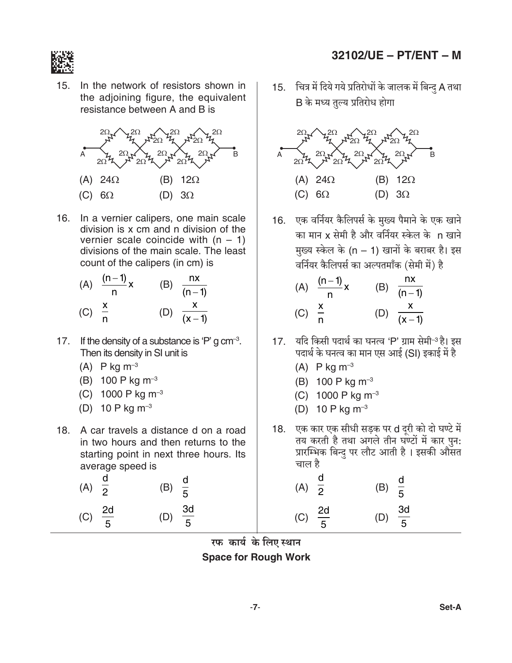

 $15.$ In the network of resistors shown in the adjoining figure, the equivalent resistance between A and B is



16. In a vernier calipers, one main scale division is x cm and n division of the vernier scale coincide with  $(n - 1)$ divisions of the main scale. The least count of the calipers (in cm) is

(A) 
$$
\frac{(n-1)}{n}x
$$
 (B)  $\frac{nx}{(n-1)}$   
(C)  $\frac{x}{n}$  (D)  $\frac{x}{(x-1)}$ 

- 17. If the density of a substance is 'P' g  $cm^{-3}$ . Then its density in SI unit is
	- (A)  $P$  kg m<sup>-3</sup>
	- (B) 100 P kg  $m^{-3}$
	- (C) 1000 P kg  $m^{-3}$
	- (D) 10 P kg  $m^{-3}$
- 18. A car travels a distance d on a road in two hours and then returns to the starting point in next three hours. Its average speed is

(A) 
$$
\frac{d}{2}
$$
 (B)  $\frac{d}{5}$    
 (C)  $\frac{2d}{5}$  (D)  $\frac{3d}{5}$ 

### 32102/UE - PT/ENT - M

15. चित्र में दिये गये प्रतिरोधों के जालक में बिन्दु A तथा B के मध्य तुल्य प्रतिरोध होगा



16. एक वर्नियर कैलिपर्स के मुख्य पैमाने के एक खाने का मान x सेमी है और वर्नियर स्केल के n खाने मुख्य स्केल के (n – 1) खानों के बराबर है। इस वर्नियर कैलिपर्स का अल्पतमाँक (सेमी में) है

(A) 
$$
\frac{(n-1)}{n}x
$$
 (B)  $\frac{nx}{(n-1)}$   
(C)  $\frac{x}{n}$  (D)  $\frac{x}{(x-1)}$ 

- यदि किसी पदार्थ का घनत्व 'P' ग्राम सेमी<sup>-3</sup> है। इस  $17.$ पदार्थ के घनत्व का मान एस आई (SI) इकाई में है
	- (A)  $P$  kg m<sup>-3</sup>
	- (B) 100 P kg  $m^{-3}$
	- (C) 1000 P kg  $m^{-3}$
	- (D) 10 P kg  $m^{-3}$
- 18. एक कार एक सीधी सड़क पर d दूरी को दो घण्टे में तय करती है तथा अगले तीन घण्टों में कार पुन: प्रारम्भिक बिन्दु पर लौट आती है। इसकी औसत चाल है

(A) 
$$
\frac{d}{2}
$$
 (B)  $\frac{d}{5}$   
(C)  $\frac{2d}{5}$  (D)  $\frac{3d}{5}$ 

 $-7-$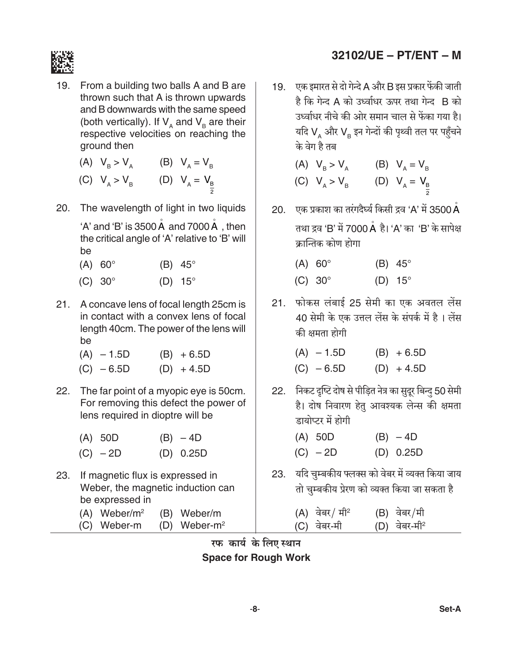

19. From a building two balls A and B are thrown such that A is thrown upwards and B downwards with the same speed (both vertically). If  $V_A$  and  $V_B$  are their<br>respective velocities on reaching the ground then

(A) 
$$
V_B > V_A
$$
 (B)  $V_A = V_B$   
(C)  $V_A > V_B$  (D)  $V_A = V_B$ 

20. The wavelength of light in two liquids

'A' and 'B' is  $3500 \text{ Å}$  and  $7000 \text{ Å}$  , then the critical angle of 'A' relative to 'B' will be

- $(A)$  60° (B)  $45^\circ$
- $(C)$  30 $^{\circ}$  $(D)$  15°
- 21. A concave lens of focal length 25cm is in contact with a convex lens of focal length 40cm. The power of the lens will be
	- $(A) 1.5D$  $(B) + 6.5D$  $(C) - 6.5D$  $(D) + 4.5D$
- 22. The far point of a myopic eye is 50cm. For removing this defect the power of lens required in dioptre will be

| $(A)$ 50D  | $(B) - 4D$ |
|------------|------------|
| $(C) - 2D$ | (D) 0.25D  |

- 23. If magnetic flux is expressed in Weber, the magnetic induction can be expressed in
	- $(A)$  Weber/m<sup>2</sup> (B) Weber/m (C) Weber-m (D) Weber-m<sup>2</sup>
- 32102/UE PT/ENT M
- 19. एक इमारत से दो गेन्दे A और B इस प्रकार फेंकी जाती है कि गेन्द A को उर्ध्वाधर ऊपर तथा गेन्द B को उर्ध्वाधर नीचे की ओर समान चाल से फेंका गया है। यदि VA और VB इन गेन्दों की पृथ्वी तल पर पहुँचने के वेग है तब

| (A) $V_B > V_A$     | (B) $V_A = V_B$     |
|---------------------|---------------------|
| (C) $V_{A} > V_{B}$ | (D) $V_{A} = V_{B}$ |

- 20. एक प्रकाश का तरंगदैर्घ्य किसी द्रव 'A' में 3500  $\mathring{\mathsf{A}}$ तथा द्रव 'B' में 7000 Å है। 'A' का 'B' के सापेक्ष कान्तिक कोण होगा
	- $(A) 60^\circ$  $(B)$  45°  $(C) 30^\circ$  $(D)$  15°
- 21. फोकस लंबाई 25 सेमी का एक अवतल लेंस 40 सेमी के एक उत्तल लेंस के संपर्क में है। लेंस की क्षमता होगी

| $(A) - 1.5D$ | $(B) + 6.5D$ |
|--------------|--------------|
| $(C) - 6.5D$ | $(D) + 4.5D$ |

22. निकट दृष्टि दोष से पीड़ित नेत्र का सुदूर बिन्दु 50 सेमी है। दोष निवारण हेतु आवश्यक लेन्स की क्षमता डायोप्टर में होगी

| $(A)$ 50D  | $(B) - 4D$ |
|------------|------------|
| $(C) - 2D$ | (D) 0.25D  |

23. यदि चुम्बकीय फ्लक्स को वेबर में व्यक्त किया जाय तो चुम्बकीय प्रेरण को व्यक्त किया जा सकता है

| (A) वेबर <i> </i> मी <sup>2</sup> | (B) वेबर/मी              |
|-----------------------------------|--------------------------|
| (C) वेबर-मी                       | (D) वेबर-मी <sup>2</sup> |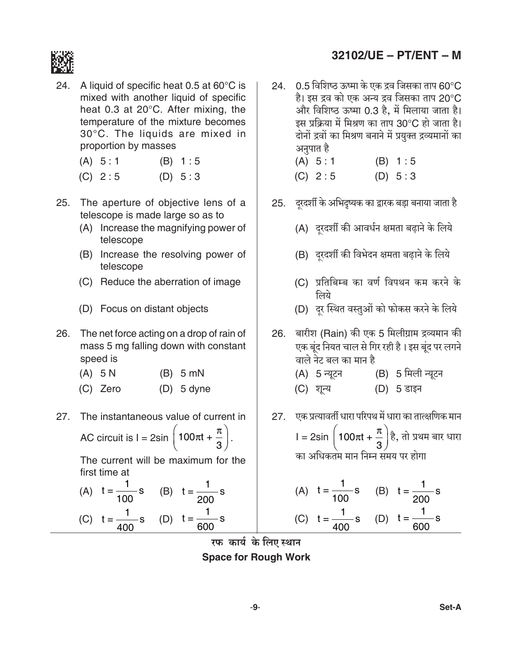

24. A liquid of specific heat 0.5 at  $60^{\circ}$ C is mixed with another liquid of specific heat 0.3 at  $20^{\circ}$ C. After mixing, the temperature of the mixture becomes 30°C. The liquids are mixed in proportion by masses

| (A) 5:1 | (B) 1:5 |
|---------|---------|
|---------|---------|

- $(C) 2:5$  $(D) 5:3$
- 25. The aperture of objective lens of a telescope is made large so as to
	- (A) Increase the magnifying power of telescope
	- (B) Increase the resolving power of telescope
	- (C) Reduce the aberration of image
	- (D) Focus on distant objects
- 26. The net force acting on a drop of rain of mass 5 mg falling down with constant speed is
	- $(B)$  5 mN  $(A)$  5 N
	- (C) Zero  $(D)$  5 dyne
- The instantaneous value of current in  $27.$

AC circuit is  $I = 2\sin\left(100\pi t + \frac{\pi}{3}\right)$ .

The current will be maximum for the first time at

(A) 
$$
t = \frac{1}{100} s
$$
 (B)  $t = \frac{1}{200} s$   
(C)  $t = \frac{1}{400} s$  (D)  $t = \frac{1}{600} s$ 

# 32102/UE - PT/ENT - M

24.  $0.5$  विशिष्ठ ऊष्मा के एक द्रव जिसका ताप 60°C है। इस द्रव को एक अन्य द्रव जिसका ताप 20°C और विशिष्ठ ऊष्मा 0.3 है, में मिलाया जाता है। इस प्रक्रिया में मिश्रण का ताप 30°C हो जाता है। दोनों द्रवों का मिश्रण बनाने में प्रयुक्त द्रव्यमानों का अनुपात है  $(A) 5:1$  $(B) 1:5$  $(C) 2:5$  $(D) 5:3$ 25. दरदर्शी के अभिदुष्यक का द्वारक बड़ा बनाया जाता है (A) दरदर्शी की आवर्धन क्षमता बढ़ाने के लिये (B) दूरदर्शी की विभेदन क्षमता बढ़ाने के लिये (C) प्रतिबिम्ब का वर्ण विपथन कम करने के लिये (D) दूर स्थित वस्तुओं को फोकस करने के लिये 26. बारीश (Rain) की एक 5 मिलीग्राम द्रव्यमान की एक बंद नियत चाल से गिर रही है। इस बूंद पर लगने वाले नेट बल का मान है (B) 5 मिली न्यूटन (A) 5 न्यूटन (C) शून्य (D) 5 डाइन 27. एक प्रत्यावर्ती धारा परिपथ में धारा का तात्क्षणिक मान l = 2sin  $\left(100\pi t + \frac{\pi}{3}\right)$ है, तो प्रथम बार धारा का अधिकतम मान निम्न समय पर होगा  $\frac{1}{\sqrt{2}}$  $\mathbf{1}$ 

(A) 
$$
t = \frac{1}{100}
$$
 S (B)  $t = \frac{1}{200}$  S  
(C)  $t = \frac{1}{400}$  S (D)  $t = \frac{1}{600}$  S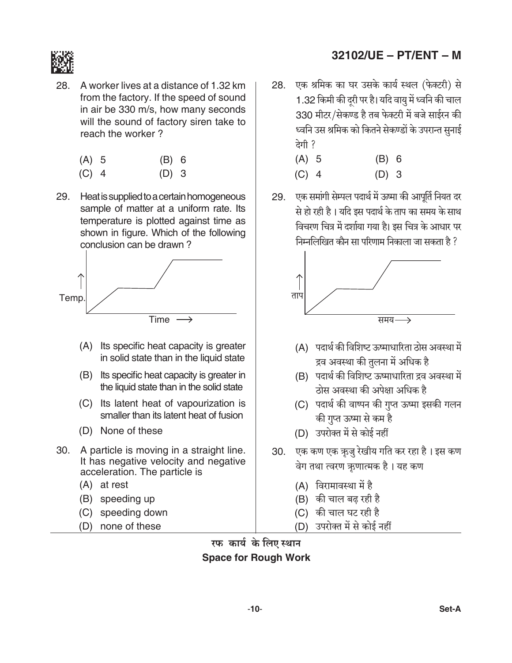

28. A worker lives at a distance of 1.32 km from the factory. If the speed of sound in air be 330 m/s, how many seconds will the sound of factory siren take to reach the worker?

| (A) 5 | (B) 6 |  |
|-------|-------|--|
| .     |       |  |

- $(C)$  4  $(D)$  3
- 29. Heat is supplied to a certain homogeneous sample of matter at a uniform rate. Its temperature is plotted against time as shown in figure. Which of the following conclusion can be drawn?



- (A) Its specific heat capacity is greater in solid state than in the liquid state
- (B) Its specific heat capacity is greater in the liquid state than in the solid state
- (C) Its latent heat of vapourization is smaller than its latent heat of fusion
- (D) None of these
- 30. A particle is moving in a straight line. It has negative velocity and negative acceleration. The particle is
	- (A) at rest
	- (B) speeding up
	- (C) speeding down
	- (D) none of these

# 32102/UE - PT/ENT - M

एक श्रमिक का घर उसके कार्य स्थल (फेक्टरी) से 28. 1.32 किमी की दूरी पर है। यदि वायु में ध्वनि की चाल 330 मीटर/सेकण्ड है तब फेक्टरी में बजे साईरन की ध्वनि उस श्रमिक को कितने सेकण्डों के उपरान्त सुनाई देगी ?

| (A) 5   | (B) 6   |  |
|---------|---------|--|
| $(C)$ 4 | $(D)$ 3 |  |

29. एक समांगी सेम्पल पदार्थ में ऊष्मा की आपूर्ति नियत दर से हो रही है। यदि इस पदार्थ के ताप का समय के साथ विचरण चित्र में दर्शाया गया है। इस चित्र के आधार पर निम्नलिखित कौन सा परिणाम निकाला जा सकता है ?



- (A) पदार्थ की विशिष्ट ऊष्माधारिता ठोस अवस्था में द्रव अवस्था की तुलना में अधिक है
- (B) पदार्थ की विशिष्ट ऊष्माधारिता द्रव अवस्था में ठोस अवस्था की अपेक्षा अधिक है
- (C) पदार्थ की वाष्पन की गुप्त ऊष्मा इसकी गलन की गुप्त ऊष्मा से कम है
- (D) उपरोक्त में से कोई नहीं
- 30. एक कण एक ऋजु रेखीय गति कर रहा है। इस कण वेग तथा त्वरण ऋणात्मक है। यह कण
	- (A) विरामावस्था में है
	- (B) की चाल बढ रही है
	- $(C)$  की चाल घट रही है
	- (D) उपरोक्त में से कोई नहीं

रफ कार्य के लिए स्थान **Space for Rough Work**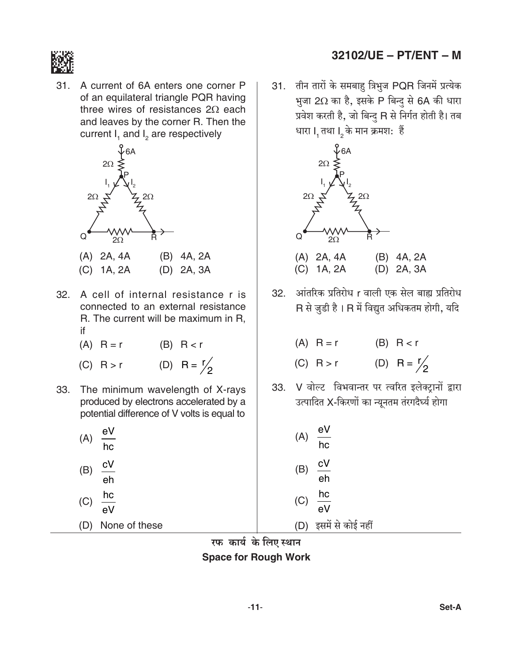

31. A current of 6A enters one corner P of an equilateral triangle PQR having three wires of resistances  $2\Omega$  each and leaves by the corner R. Then the current I, and I<sub>2</sub> are respectively



- 32. A cell of internal resistance r is connected to an external resistance R. The current will be maximum in R, if
	- $(A)$  R = r  $(B)$  R < r
	- (D) R =  $\frac{1}{2}$  $(C)$  R > r
- 33. The minimum wavelength of X-rays produced by electrons accelerated by a potential difference of V volts is equal to

| (A) | eV<br>hc |  |
|-----|----------|--|
| (B) | сV<br>eh |  |
| (C) | hc<br>eV |  |
|     |          |  |

(D) None of these

- 32102/UE PT/ENT M
- 31. तीन तारों के समबाह़ त्रिभुज PQR जिनमें प्रत्येक भुजा 2Ω का है, इसके P बिन्द से 6A की धारा प्रवेश करती है, जो बिन्द R से निर्गत होती है। तब धारा I, तथा I, के मान क्रमश: हैं



- $(C)$  1A, 2A (D) 2A, 3A
- 32. आंतरिक प्रतिरोध r वाली एक सेल बाह्य प्रतिरोध R से जुडी है। R में विद्युत अधिकतम होगी, यदि

| $(A)$ R = r | $(B)$ R $\lt r$       |
|-------------|-----------------------|
| $(C)$ R > r | (D) R = $\frac{r}{c}$ |

33. V वोल्ट विभवान्तर पर त्वरित इलेक्ट्रानों द्वारा उत्पादित X-किरणों का न्यूनतम तंरगदैर्घ्य होगा

| (A) | $\frac{eV}{hc}$   |  |
|-----|-------------------|--|
| (B) | $\frac{cV}{eh}$   |  |
| (C) | $rac{hc}{eV}$     |  |
| (D) | इसमें से कोई नहीं |  |

रफ कार्य के लिए स्थान **Space for Rough Work**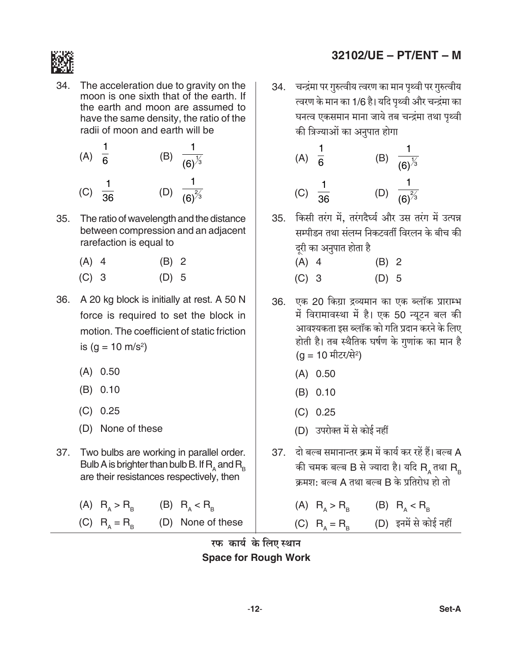

34. The acceleration due to gravity on the moon is one sixth that of the earth. If the earth and moon are assumed to have the same density, the ratio of the radii of moon and earth will be

| (A) | $\overline{6}$  | (B) | $(6)^{\frac{1}{3}}$ |
|-----|-----------------|-----|---------------------|
| (C) | $\overline{36}$ | (D) | $(6)^{\frac{2}{3}}$ |

- The ratio of wavelength and the distance  $35.$ between compression and an adjacent rarefaction is equal to
	- $(A)$  4  $(B)$  2
	- $(C)$  3  $(D)$  5
- 36. A 20 kg block is initially at rest. A 50 N force is required to set the block in motion. The coefficient of static friction is  $(a = 10 \text{ m/s}^2)$ 
	- $(A) 0.50$
	- $(B) 0.10$
	- $(C) 0.25$
	- (D) None of these
- 37. Two bulbs are working in parallel order. Bulb A is brighter than bulb B. If  $R_{\text{A}}$  and  $R_{\text{B}}$ are their resistances respectively, then
	- (A)  $R_A > R_B$  (B)  $R_A < R_B$ (C)  $R_A = R_B$  (D) None of these

# 32102/UE - PT/ENT - M

34. चन्द्रंमा पर गुरुत्वीय त्वरण का मान पृथ्वी पर गुरुत्वीय त्वरण के मान का 1/6 है। यदि पृथ्वी और चन्द्रंमा का घनत्व एकसमान माना जाये तब चन्द्रंमा तथा पृथ्वी की त्रिज्याओं का अनुपात होगा

(A) 
$$
\frac{1}{6}
$$
 (B)  $\frac{1}{(6)^{\frac{1}{3}}}$   
(C)  $\frac{1}{36}$  (D)  $\frac{1}{(6)^{\frac{2}{3}}}$ 

- 35. किसी तरंग में, तरंगदैर्घ्य और उस तरंग में उत्पन्न सम्पीडन तथा संलग्न निकटवर्ती विरलन के बीच की दरी का अनुपात होता है
	- $(A)$  4  $(B)$  2
	- $(C)$  3  $(D)$  5
- 36. एक 20 किग्रा द्रव्यमान का एक ब्लॉक प्राराम्भ में विरामावस्था में है। एक 50 न्यटन बल की आवश्यकता इस ब्लॉक को गति प्रदान करने के लिए होती है। तब स्थैतिक घर्षण के गुणांक का मान है (a = 10 मीटर/से<sup>2</sup>)
	- $(A) 0.50$
	- $(B) 0.10$
	- $(C) 0.25$
	- (D) उपरोक्त में से कोई नहीं
- 37. दो बल्ब समानान्तर क्रम में कार्य कर रहें हैं। बल्ब A की चमक बल्ब B से ज्यादा है। यदि R, तथा R, क्रमश: बल्ब A तथा बल्ब B के प्रतिरोध हो तो
	- (A)  $R_A > R_B$  (B)  $R_A < R_B$ (C)  $R_A = R_B$  (D) इनमें से कोई नहीं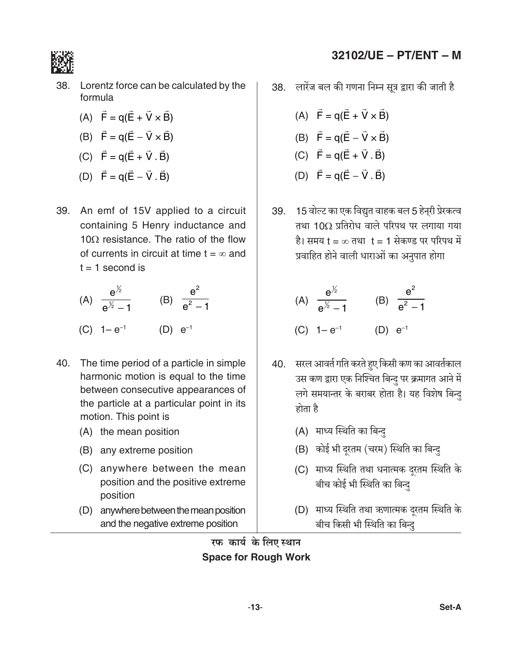

- (A)  $\vec{F} = q(\vec{E} + \vec{V} \times \vec{B})$
- (B)  $\vec{F} = q(\vec{E} \vec{V} \times \vec{B})$
- (C)  $\vec{F} = q(\vec{E} + \vec{V} \cdot \vec{B})$
- (D)  $\vec{F} = q(\vec{E} \vec{V} \cdot \vec{B})$
- 39. An emf of 15V applied to a circuit containing 5 Henry inductance and 10 $\Omega$  resistance. The ratio of the flow of currents in circuit at time  $t = \infty$  and  $t = 1$  second is

(A) 
$$
\frac{e^{\frac{1}{2}}}{e^{\frac{1}{2}}-1}
$$
 (B)  $\frac{e^2}{e^2-1}$   
(C)  $1-e^{-1}$  (D)  $e^{-1}$ 

- 40. The time period of a particle in simple harmonic motion is equal to the time between consecutive appearances of the particle at a particular point in its motion. This point is
	- (A) the mean position
	- (B) any extreme position
	- (C) anywhere between the mean position and the positive extreme position
	- (D) anywhere between the mean position and the negative extreme position

# 32102/UE - PT/ENT - M

38. लारेंज बल की गणना निम्न सूत्र द्वारा की जाती है

- (A)  $\vec{F} = q(\vec{E} + \vec{V} \times \vec{B})$ (B)  $\vec{F} = q(\vec{E} - \vec{V} \times \vec{B})$ (C)  $\vec{F} = q(\vec{E} + \vec{V} \cdot \vec{B})$ (D)  $\vec{F} = q(\vec{E} - \vec{V} \cdot \vec{B})$
- 39. 15 वोल्ट का एक विद्युत वाहक बल 5 हेन्री प्रेरकत्व तथा 10 $\Omega$  प्रतिरोध वाले परिपथ पर लगाया गया है। समय t = ∞ तथा t = 1 सेकण्ड पर परिपथ में प्रवाहित होने वाली धाराओं का अनुपात होगा

(A) 
$$
\frac{e^{1/2}}{e^{1/2} - 1}
$$
 (B)  $\frac{e^{2}}{e^{2} - 1}$   
(C)  $1 - e^{-1}$  (D)  $e^{-1}$ 

- 40. सरल आवर्त गति करते हुए किसी कण का आवर्तकाल उस कण द्वारा एक निश्चित बिन्दु पर क्रमागत आने में लगे समयान्तर के बराबर होता है। यह विशेष बिन्दु होता है
	- (A) माध्य स्थिति का बिन्द
	- (B) कोई भी दूरतम (चरम) स्थिति का बिन्दु
	- (C) माध्य स्थिति तथा धनात्मक दूरतम स्थिति के बीच कोई भी स्थिति का बिन्द
	- (D) माध्य स्थिति तथा ऋणात्मक दूरतम स्थिति के बीच किसी भी स्थिति का बिन्दु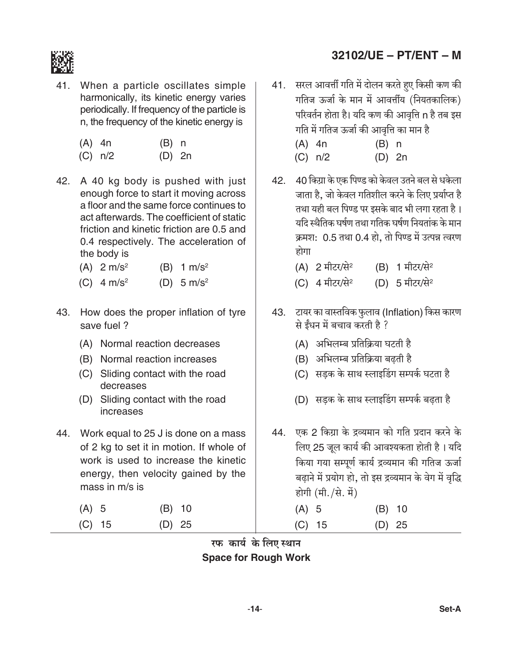

41. When a particle oscillates simple harmonically, its kinetic energy varies periodically. If frequency of the particle is n, the frequency of the kinetic energy is

| $(A)$ 4n | $(B)$ n |  |
|----------|---------|--|
|          |         |  |

- $(C) n/2$  $(D)$  2n
- 42. A 40 kg body is pushed with just enough force to start it moving across a floor and the same force continues to act afterwards. The coefficient of static friction and kinetic friction are 0.5 and 0.4 respectively. The acceleration of the body is
	- $(A)$  2 m/s<sup>2</sup> (B)  $1 \text{ m/s}^2$
	- (C)  $4 \text{ m/s}^2$ (D)  $5 \text{ m/s}^2$
- 43. How does the proper inflation of tyre save fuel?
	- (A) Normal reaction decreases
	- (B) Normal reaction increases
	- (C) Sliding contact with the road decreases
	- (D) Sliding contact with the road increases
- 44. Work equal to 25 J is done on a mass of 2 kg to set it in motion. If whole of work is used to increase the kinetic energy, then velocity gained by the mass in m/s is
	- $(B)$  10  $(A)$  5  $(C)$  15  $(D)$  25

# 32102/UE - PT/ENT - M

41. सरल आवर्त्ती गति में दोलन करते हुए किसी कण की गतिज ऊर्जा के मान में आवर्त्तीय (नियतकालिक) परिवर्तन होता है। यदि कण की आवृत्ति n है तब इस गति में गतिज ऊर्जा की आवृत्ति का मान है

| (A) 4n  | $(B)$ n  |  |
|---------|----------|--|
| (C) n/2 | $(D)$ 2n |  |

- 42. 40 किग्रा के एक पिण्ड को केवल उतने बल से धकेला जाता है. जो केवल गतिशील करने के लिए प्रर्याप्त है तथा यही बल पिण्ड पर इसके बाद भी लगा रहता है। यदि स्थैतिक घर्षण तथा गतिक घर्षण नियतांक के मान क्रमश: 0.5 तथा 0.4 हो, तो पिण्ड में उत्पन्न त्वरण होगा
	- (A) 2 मीटर/से $2$ (B) 1 मीटर/से<sup>2</sup>
	- (C) 4 मीटर/से<sup>2</sup> (D) 5 मीटर/से<sup>2</sup>
- 43. टायर का वास्तविक फुलाव (Inflation) किस कारण से ईंधन में बचाव करती है ?
	- (A) अभिलम्ब प्रतिक्रिया घटती है
	- (B) अभिलम्ब प्रतिक्रिया बढती है
	- (C) सड़क के साथ स्लाइडिंग सम्पर्क घटता है
	- (D) सडक के साथ स्लाइडिंग सम्पर्क बढता है
- 44. एक 2 किग्रा के द्रव्यमान को गति प्रदान करने के लिए 25 जुल कार्य की आवश्यकता होती है। यदि किया गया सम्पूर्ण कार्य द्रव्यमान की गतिज ऊर्जा बढ़ाने में प्रयोग हो, तो इस द्रव्यमान के वेग में वृद्धि होगी (मी./से. में) C

| $(A)$ 5  | $(B)$ 10 |  |
|----------|----------|--|
| $(C)$ 15 | $(D)$ 25 |  |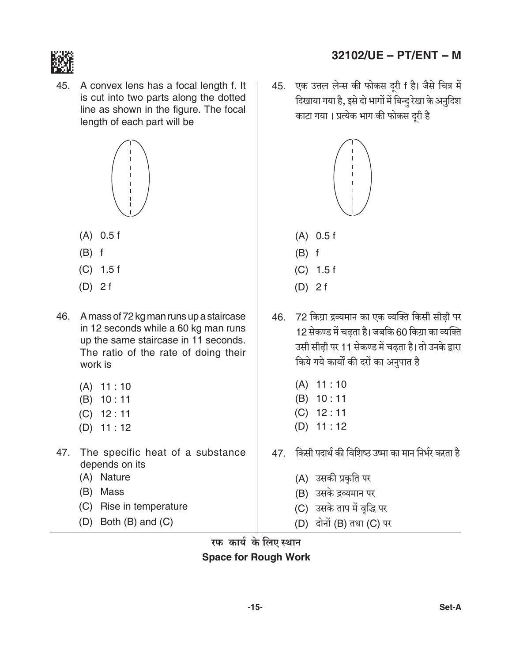

45. A convex lens has a focal length f. It is cut into two parts along the dotted line as shown in the figure. The focal length of each part will be



- $(A)$  0.5 f
- $(B)$  f
- $(C)$  1.5 f
- $(D)$  2 f
- 46. A mass of 72 kg man runs up a staircase in 12 seconds while a 60 kg man runs up the same staircase in 11 seconds. The ratio of the rate of doing their work is
	- $(A)$  11:10
	- $(B) 10:11$
	- $(C)$  12:11
	- $(D)$  11:12
- 47. The specific heat of a substance depends on its
	- (A) Nature
	- (B) Mass
	- (C) Rise in temperature
	- $(D)$  Both  $(B)$  and  $(C)$
- 32102/UE PT/ENT M
- एक उत्तल लेन्स की फोकस दूरी f है। जैसे चित्र में 45. दिखाया गया है, इसे दो भागों में बिन्दु रेखा के अनुदिश काटा गया। प्रत्येक भाग की फोकस दरी है



- $(B)$  f
- $(C)$  1.5 f
- $(D)$  2 f
- 46. 72 किग्रा द्रव्यमान का एक व्यक्ति किसी सीढ़ी पर 12 सेकण्ड में चढता है। जबकि 60 किग्रा का व्यक्ति उसी सीढ़ी पर 11 सेकण्ड में चढ़ता है। तो उनके द्वारा किये गये कार्यों की दरों का अनुपात है
	- $(A)$  11:10
	- $(B) 10:11$
	- $(C)$  12:11
	- $(D)$  11:12
- 47. किसी पदार्थ की विशिष्ठ उष्मा का मान निर्भर करता है
	- (A) उसकी प्रकृति पर
	- (B) उसके द्रव्यमान पर
	- (C) उसके ताप में वृद्धि पर
	- (D) दोनों (B) तथा (C) पर

रफ कार्य के लिए स्थान **Space for Rough Work**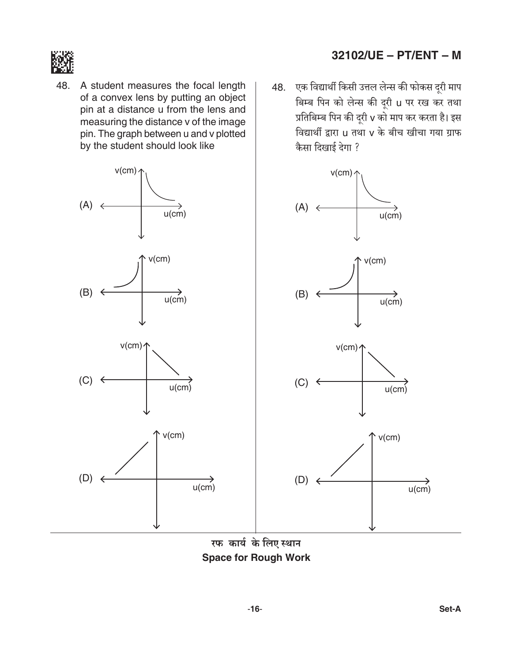

48. A student measures the focal length of a convex lens by putting an object pin at a distance u from the lens and measuring the distance v of the image pin. The graph between u and v plotted by the student should look like

# $v$ (cm)  $\prime$  $v$ (cm)  $\prime$  $(A) \leftarrow$  $(A) \leftarrow$  $u$ (cm)  $u$ (cm)  $v$ (cm)  $v$ (cm)  $(B)$  $(B)$  $\overrightarrow{u$ (cm)  $u(cm)$  $v$ (cm) $\uparrow$  $v$ (cm) $\uparrow$  $(C) \leftarrow$  $(C) \leftarrow$  $u$ (cm)  $u$ (cm)  $v$ (cm)  $v$ (cm)  $(D)$  $(D)$  $u$ (cm)  $u$ (cm)

रफ कार्य के लिए स्थान **Space for Rough Work** 

# 32102/UE - PT/ENT - M

48. एक विद्यार्थी किसी उत्तल लेन्स की फोकस दूरी माप बिम्ब पिन को लेन्स की दूरी u पर रख कर तथा प्रतिबिम्ब पिन की दूरी v को माप कर करता है। इस विद्यार्थी द्वारा u तथा v के बीच खीचा गया ग्राफ कैसा दिखाई देगा ?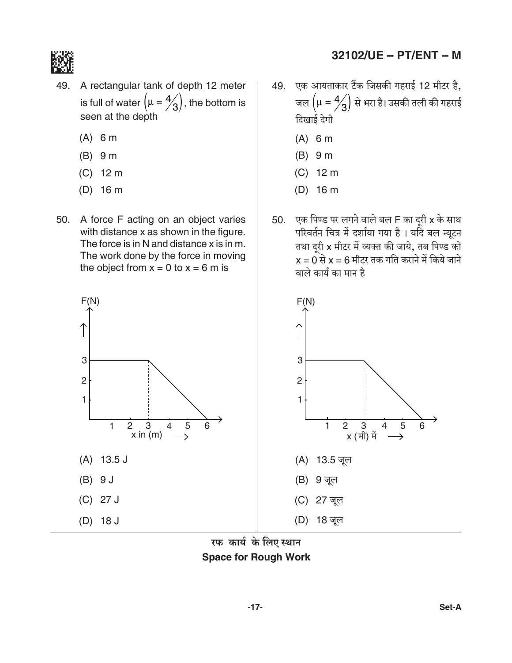

- 49. A rectangular tank of depth 12 meter is full of water  $(\mu = \frac{4}{3})$ , the bottom is seen at the depth
	- $(A)$  6 m
	- $(B)$  9 m
	- $(C)$  12 m
	- $(D)$  16 m
- 50. A force F acting on an object varies with distance x as shown in the figure. The force is in N and distance x is in m. The work done by the force in moving the object from  $x = 0$  to  $x = 6$  m is
- 49. एक आयताकार टैंक जिसकी गहराई 12 मीटर है, जल  $(\mu = 4/3)$  से भरा है। उसकी तली की गहराई दिखाई देगी
	- $(A)$  6 m
	- $(B)$  9 m
	- $(C)$  12 m
	- $(D)$  16 m
- एक पिण्ड पर लगने वाले बल F का दूरी x के साथ 50. परिवर्तन चित्र में दर्शाया गया है । यदि बल न्यूटन तथा दूरी x मीटर में व्यक्त की जाये, तब पिण्ड को<br>x = 0 से x = 6 मीटर तक गति कराने में किये जाने वाले कार्य का मान है



रफ कार्य के लिए स्थान **Space for Rough Work**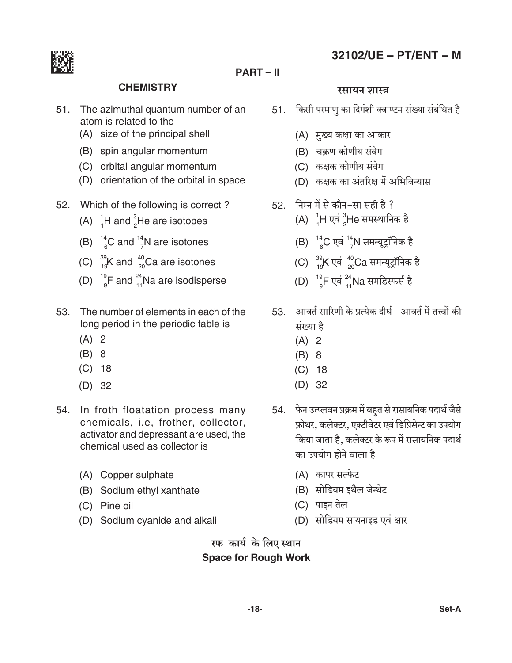

#### **PART-II**

#### **CHEMISTRY**

- 51. The azimuthal quantum number of an atom is related to the
	- (A) size of the principal shell
	- (B) spin angular momentum
	- (C) orbital angular momentum
	- (D) orientation of the orbital in space
- 52. Which of the following is correct?
	- (A)  $^{1}_{1}$ H and  $^{3}_{2}$ He are isotopes
	- (B)  $^{14}_{6}$ C and  $^{14}_{7}$ N are isotones
	- (C)  $^{39}_{19}$ K and  $^{40}_{20}$ Ca are isotones
	- (D)  $^{19}$ F and  $^{24}_{11}$ Na are isodisperse
- The number of elements in each of the  $53<sub>1</sub>$ long period in the periodic table is
	- $(A)$  2
	- $(B) 8$
	- $(C)$  18
	- $(D)$  32
- 54. In froth floatation process many chemicals, i.e, frother, collector, activator and depressant are used, the chemical used as collector is
	- (A) Copper sulphate
	- (B) Sodium ethyl xanthate
	- (C) Pine oil
	- (D) Sodium cyanide and alkali

#### रसायन शास्त्र

- 51. किसी परमाणु का दिगंशी क्वाण्टम संख्या संबंधित है
	- (A) मुख्य कक्षा का आकार
	- (B) चक्रण कोणीय संवेग
	- (C) कक्षक कोणीय संवेग
	- (D) कक्षक का अंतरिक्ष में अभिविन्यास
- $52.$  निम्न में से कौन-सा सही है ?
	- (A)  $^{1}_{4}$ H एवं  $^{3}_{2}$ He समस्थानिक है
	- (B)  $^{14}_{6}$ C एवं  $^{14}_{7}$ N समन्यूट्रॉनिक है
	- (C)  $^{39}_{10}$ K एवं  $^{40}_{20}$ Ca समन्यूट्रॉनिक है
	- (D)  $^{19}$ F एवं  $^{24}$ Na समडिस्फर्स है
- 53. आवर्त सारिणी के प्रत्येक दीर्घ- आवर्त में तत्त्वों की संख्या है
	- $(A)$  2
	- $(B) 8$
	- $(C)$  18
	- $(D)$  32
- 54. फेन उत्प्लवन प्रक्रम में बहुत से रासायनिक पदार्थ जैसे फ्रोथर, कलेक्टर, एक्टीवेटर एवं डिप्रिसेन्ट का उपयोग किया जाता है. कलेक्टर के रूप में रासायनिक पदार्थ का उपयोग होने वाला है
	- (A) कापर सल्फेट
	- (B) सोडियम इथैल जेन्थेट
	- (C) पाइन तेल
	- (D) सोडियम सायनाइड एवं क्षार

रफ कार्य के लिए स्थान **Space for Rough Work** 

# 32102/UE - PT/ENT - M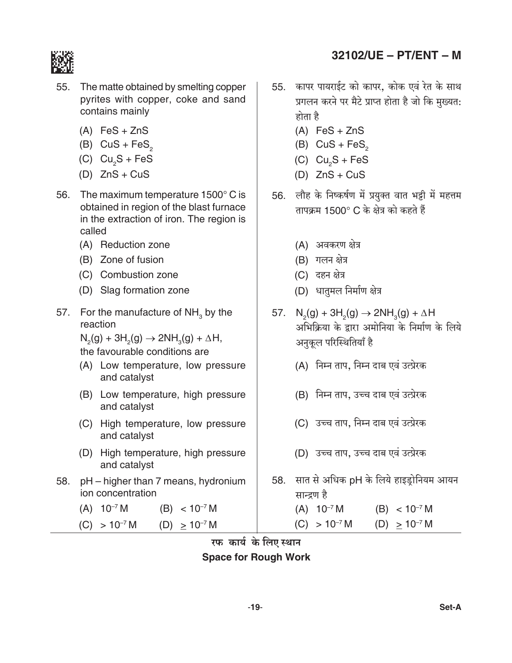

- 55. The matte obtained by smelting copper pyrites with copper, coke and sand contains mainly
	- $(A)$  FeS + ZnS
	- (B)  $CuS + FeS<sub>2</sub>$
	- (C)  $Cu<sub>2</sub>S + FeS$
	- (D)  $ZnS + CuS$
- 56. The maximum temperature 1500° C is obtained in region of the blast furnace in the extraction of iron. The region is called
	- (A) Reduction zone
	- (B) Zone of fusion
	- (C) Combustion zone
	- (D) Slag formation zone
- 57. For the manufacture of  $NH<sub>3</sub>$  by the reaction

 $N_2(g) + 3H_2(g) \rightarrow 2NH_3(g) + \Delta H$ 

the favourable conditions are

- (A) Low temperature, low pressure and catalyst
- (B) Low temperature, high pressure and catalyst
- (C) High temperature, low pressure and catalyst
- (D) High temperature, high pressure and catalyst
- pH higher than 7 means, hydronium 58. ion concentration
	- $(A) 10^{-7} M$  $(B) < 10^{-7} M$
	- $(C) > 10^{-7} M$ (D)  $\geq 10^{-7}$  M
- 55. कापर पायराईट को कापर, कोक एवं रेत के साथ प्रगलन करने पर मैटे प्राप्त होता है जो कि मुख्यत: होता है
	- $(A)$  FeS + ZnS
	- (B)  $CuS + FeS_2$
	- (C)  $Cu<sub>2</sub>S + FeS$
	- (D)  $ZnS + CuS$
- 56. लौह के निष्कर्षण में प्रयुक्त वात भट्टी में महत्तम तापक्रम 1500° C के क्षेत्र को कहते हैं
	- (A) अवकरण क्षेत्र
	- (B) गलन क्षेत्र
	- (C) दहन क्षेत्र
	- (D) धातमल निर्माण क्षेत्र
- 57.  $N_2(g) + 3H_2(g) \rightarrow 2NH_3(g) + \Delta H$ अभिक्रिया के द्वारा अमोनिया के निर्माण के लिये अनुकूल परिस्थितियाँ है
	- (A) निम्न ताप, निम्न दाब एवं उत्प्रेरक
	- (B) निम्न ताप, उच्च दाब एवं उत्प्रेरक
	- (C) उच्च ताप, निम्न दाब एवं उत्प्रेरक
	- (D) उच्च ताप, उच्च दाब एवं उत्प्रेरक
- 58. सात से अधिक pH के लिये हाइड्रोनियम आयन सान्द्रण है

 $(A) 10^{-7} M$  $(B) < 10^{-7} M$  $(C) > 10^{-7} M$  $(D) \ge 10^{-7} M$ 

#### रफ कार्य के लिए स्थान **Space for Rough Work**

# 32102/UE - PT/ENT - M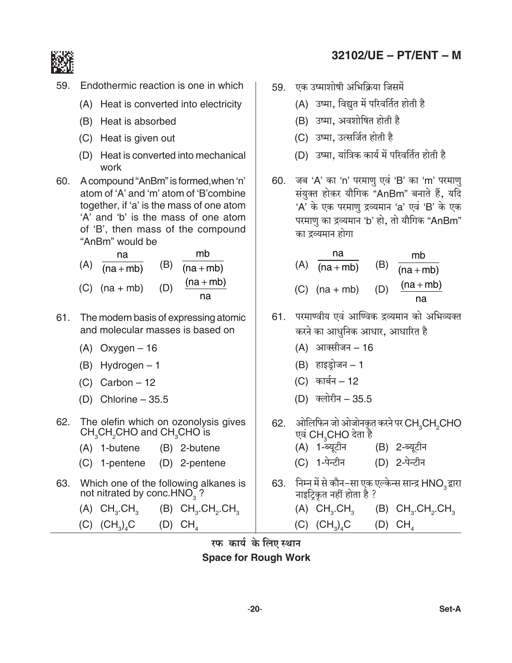

- 59. Endothermic reaction is one in which
	- (A) Heat is converted into electricity
	- (B) Heat is absorbed
	- (C) Heat is given out
	- (D) Heat is converted into mechanical work
- 60. A compound "AnBm" is formed, when 'n' atom of 'A' and 'm' atom of 'B' combine together, if 'a' is the mass of one atom 'A' and 'b' is the mass of one atom of 'B', then mass of the compound "AnBm" would be



- 61. The modern basis of expressing atomic and molecular masses is based on
	- $(A)$  Oxygen 16
	- $(B)$  Hydrogen 1
	- $(C)$  Carbon 12
	- (D) Chlorine  $-35.5$
- 62. The olefin which on ozonolysis gives CH<sub>2</sub>CH<sub>2</sub>CHO and CH<sub>2</sub>CHO is
	- (A) 1-butene (B) 2-butene
	- (C) 1-pentene (D) 2-pentene
- 63. Which one of the following alkanes is not nitrated by conc.HNO<sub>3</sub>?
	- $(B)$  CH<sub>3</sub>.CH<sub>3</sub>.CH<sub>3</sub>  $(A)$  CH<sub>3</sub>.CH<sub>3</sub>
	- $(C)$   $(CH_2)_4C$ (D) CH
- 32102/UE PT/ENT M
- 59. एक उष्माशोषी अभिक्रिया जिसमें
	- (A) उष्मा, विद्युत में परिवर्तित होती है
	- (B) उष्मा, अवशोषित होती है
	- (C) उष्मा, उत्सर्जित होती है
	- (D) उष्मा, यांत्रिक कार्य में परिवर्तित होती है
- 60. जब 'A' का 'n' परमाणु एवं 'B' का 'm' परमाणु संयुक्त होकर यौगिक "AnBm" बनाते हैं, यदि 'A' के एक परमाणु द्रव्यमान 'a' एवं 'B' के एक परमाणु का द्रव्यमान 'b' हो, तो यौगिक "AnBm" का द्रव्यमान होगा

| na              |     | mb          |
|-----------------|-----|-------------|
| $(A)$ (na + mb) | (B) | $(na + mb)$ |
| $(C)$ (na + mb) | (D) | $(na + mb)$ |
|                 |     | na          |

- 61. परमाण्वीय एवं आण्विक द्रव्यमान को अभिव्यक्त करने का आधुनिक आधार, आधारित है
	- (A) आक्सीजन 16
	- $(B)$  हाइड़ोजन 1
	- (C) कार्बन 12
	- (D) क्लोरीन 35.5
- 62. ओलिफिन जो ओजोनकृत करने पर CH3CH2CHO एवं CH CHO देता है
	- (B) 2-ब्यूटीन (A) 1-ब्यूटीन
	- (D) 2-पेन्टीन (C) 1-पेन्टीन
- 63. निम्न में से कौन-सा एक एल्केन्स सान्द्र HNO, द्वारा नाइट्कित नहीं होता है ?
	- $(A)$   $CH<sub>3</sub>$ . $CH<sub>3</sub>$  $(B)$  CH<sub>3</sub>.CH<sub>2</sub>.CH<sub>3</sub>
	- $(C)$   $(CH_2)_4C$  $(D)$  CH<sub>4</sub>

# रफ कार्य के लिए स्थान

**Space for Rough Work**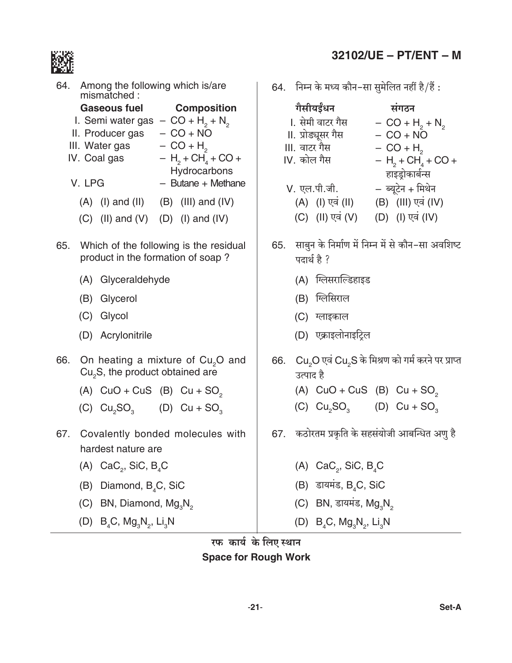

|     |        | 64. Among the following which is/are<br>mismatched:                                                                                                |                                                                                                                                          |     | 64. निम्न वे                                                                                    |
|-----|--------|----------------------------------------------------------------------------------------------------------------------------------------------------|------------------------------------------------------------------------------------------------------------------------------------------|-----|-------------------------------------------------------------------------------------------------|
|     | V. LPG | <b>Gaseous fuel</b><br>I. Semi water gas $-$ CO + H <sub>2</sub> + N <sub>2</sub><br>II. Producer gas $-CO + NO$<br>III. Water gas<br>IV. Coal gas | Composition<br>$- CO + H2$<br>$- H_2 + CH_4 + CO +$<br>Hydrocarbons<br>$-$ Butane $+$ Methane<br>$(A)$ (I) and (II) $(B)$ (III) and (IV) |     | गैसीयः<br>l. सेमी <sup>द</sup><br>II. प्रोड्यू<br>III. वाटर<br>$IV.$ कोल<br>V. एल.पं<br>$(A)$ ( |
|     |        | $(C)$ (II) and $(V)$ (D) (I) and $(IV)$                                                                                                            |                                                                                                                                          |     | $(C)$ (                                                                                         |
|     |        | product in the formation of soap?                                                                                                                  | 65. Which of the following is the residual                                                                                               | 65. | साबुन रं<br>पदार्थ है                                                                           |
|     |        | (A) Glyceraldehyde                                                                                                                                 |                                                                                                                                          |     | $(A)$ f                                                                                         |
|     |        | (B) Glycerol                                                                                                                                       |                                                                                                                                          |     | $(B)$ f                                                                                         |
|     |        | (C) Glycol                                                                                                                                         |                                                                                                                                          |     | $(C)$ $\pi$                                                                                     |
|     |        | (D) Acrylonitrile                                                                                                                                  |                                                                                                                                          |     | (D) ए                                                                                           |
| 66. |        | $Cu2S$ , the product obtained are                                                                                                                  | On heating a mixture of Cu <sub>2</sub> O and                                                                                            | 66. | Cu <sub>2</sub> O<br>उत्पाद                                                                     |
|     |        | (A) $CuO + CuS$ (B) $Cu + SO2$                                                                                                                     |                                                                                                                                          |     | $(A)$ (                                                                                         |
|     |        | (C) $Cu_2SO_3$ (D) $Cu + SO_3$                                                                                                                     |                                                                                                                                          |     | $(C)$ (                                                                                         |
|     |        | hardest nature are                                                                                                                                 | 67. Covalently bonded molecules with                                                                                                     | 67. | कठोरत                                                                                           |
|     | (A)    | $CaC_{2}$ , SiC, B <sub>4</sub> C                                                                                                                  |                                                                                                                                          |     | $\mathsf{C}$<br>(A)                                                                             |
|     |        | (B) Diamond, B <sub>4</sub> C, SiC                                                                                                                 |                                                                                                                                          |     | (B)<br>$\overline{6}$                                                                           |
|     |        | (C) BN, Diamond, Mg <sub>3</sub> N <sub>2</sub>                                                                                                    |                                                                                                                                          |     | -E<br>(C)                                                                                       |
|     |        | (D) $B_4C$ , $Mg_3N_2$ , Li <sub>3</sub> N                                                                                                         |                                                                                                                                          |     | (D)<br>E                                                                                        |
|     |        |                                                                                                                                                    |                                                                                                                                          |     |                                                                                                 |

# 32102/UE - PT/ENT - M

 $\overline{\kappa}$  मध्य कौन–सा सुमेलित नहीं है $/\overline{\vec{\epsilon}}$  :

| गैसीयईंधन          | संगठन                  |
|--------------------|------------------------|
| l. सेमी वाटर गैस   | $- CO + H2 + N2$       |
| II. प्रोड्यूसर गैस | $- CO + N\overline{O}$ |
| III. वाटर गैस      | $- CO + H2$            |
| IV. कोल गैस        | $- H2 + CH4 + CO +$    |
|                    | हाइड्रोकार्बन्स        |
| V. एल.पी.जी.       | – ब्यूटेन + मिथेन      |
| (A) (I) एवं (II)   | (B) (III) एवं (IV)     |
| (C) (II) एवं (V)   | (D) (I) एवं (IV)       |
|                    |                        |

- के निर्माण में निम्न में से कौन–सा अवशिष्ट है ?
	- ग्लेसराल्डिहाइड
	- ग्लेसिराल
	- लाइकाल
	- <mark>एक्राइलोनाइट्रिल</mark>
- एवं  $\mathsf{Cu}_{\mathsf{2}}\mathsf{S}$  के मिश्रण को गर्म करने पर प्राप्त है
	- CuO + CuS (B)  $Cu + SO<sub>2</sub>$
	- $Cu<sub>2</sub>SO<sub>3</sub>$  (D) Cu + SO<sub>3</sub>
- ।म प्रकृति के सहसंयोजी आबन्धित अणु है
	- $CaC_{2}$ , SiC,  $B_{4}C$
	- डायमंड, B $_{\rm 4}$ C, SiC
	- BN, डायमंड,  $Mg_3N_2$
	- $B_4C$ , Mg<sub>3</sub>N<sub>2</sub>, Li<sub>3</sub>N

रफ कार्य के लिए स्थान **Space for Rough Work**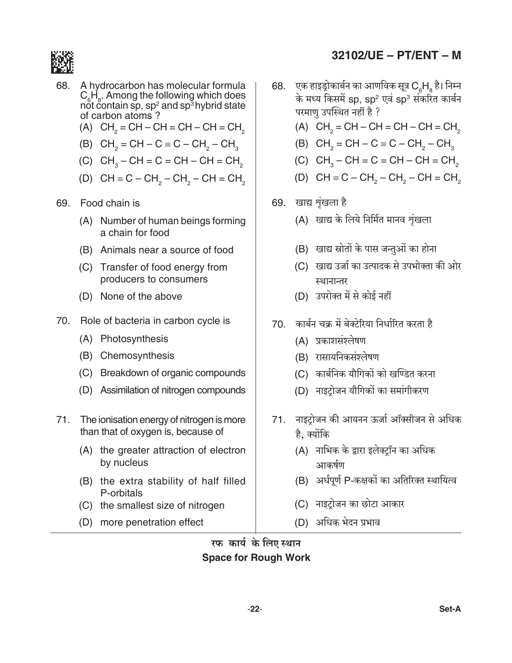

- 68. A hydrocarbon has molecular formula  $C_{\rm e}H_{\rm e}$ . Among the following which does<br>not contain sp, sp<sup>2</sup> and sp<sup>3</sup> hybrid state of carbon atoms?
	- (A)  $CH<sub>2</sub> = CH CH = CH CH = CH<sub>2</sub>$
	- (B)  $CH_2 = CH C \equiv C CH_2 CH_3$
	- (C)  $CH<sub>2</sub>-CH = C = CH CH = CH<sub>2</sub>$
	- (D)  $CH \equiv C CH_2 CH_2 CH = CH_2$
- 69. Food chain is
	- (A) Number of human beings forming a chain for food
	- (B) Animals near a source of food
	- (C) Transfer of food energy from producers to consumers
	- (D) None of the above
- 70. Role of bacteria in carbon cycle is
	- (A) Photosynthesis
	- (B) Chemosynthesis
	- (C) Breakdown of organic compounds
	- (D) Assimilation of nitrogen compounds
- 71. The ionisation energy of nitrogen is more than that of oxygen is, because of
	- (A) the greater attraction of electron by nucleus
	- (B) the extra stability of half filled P-orbitals
	- (C) the smallest size of nitrogen
	- (D) more penetration effect

# $32102/UE - PT/ENT - M$

- एक हाइड्रोकार्बन का आणविक सूत्र C<sub>6</sub>H<sub>8</sub> है। निम्न 68. के मध्य किसमें sp, sp<sup>2</sup> एवं sp<sup>3</sup> संकरित कार्बन परमाण उपस्थित नहीं है ?
	- (A)  $CH<sub>2</sub> = CH CH = CH CH = CH<sub>2</sub>$
	- (B)  $CH_2 = CH C \equiv C CH_2 CH_3$
	- (C)  $CH<sub>3</sub> CH = C = CH CH = CH<sub>2</sub>$
	- (D)  $CH \equiv C CH$ <sub>2</sub>  $CH$ <sub>2</sub>  $CH = CH$ <sub>2</sub>
- 69. खाद्य शृंखला है
	- (A) खाद्य के लिये निर्मित मानव श्रृंखला
	- (B) खाद्य स्रोतों के पास जन्तुओं का होना
	- (C) खाद्य उर्जा का उत्पादक से उपभोक्ता की ओर स्थानान्तर
	- (D) उपरोक्त में से कोई नहीं
- 70. कार्बन चक्र में बेक्टेरिया निर्धारित करता है
	- (A) प्रकाशसंश्लेषण
	- (B) रासायनिकसंश्लेषण
	- (C) कार्बनिक यौगिकों को खण्डित करना
	- (D) नाइटोजन यौगिकों का समांगीकरण
- 71. नाइटोजन की आयनन ऊर्जा ऑक्सीजन से अधिक है. क्योंकि
	- (A) नाभिक के द्वारा इलेक्ट्रॉन का अधिक आकर्षण
	- (B) अर्धपूर्ण P-कक्षकों का अतिरिक्त स्थायित्व
	- (C) नाइटोजन का छोटा आकार
	- (D) अधिक भेदन प्रभाव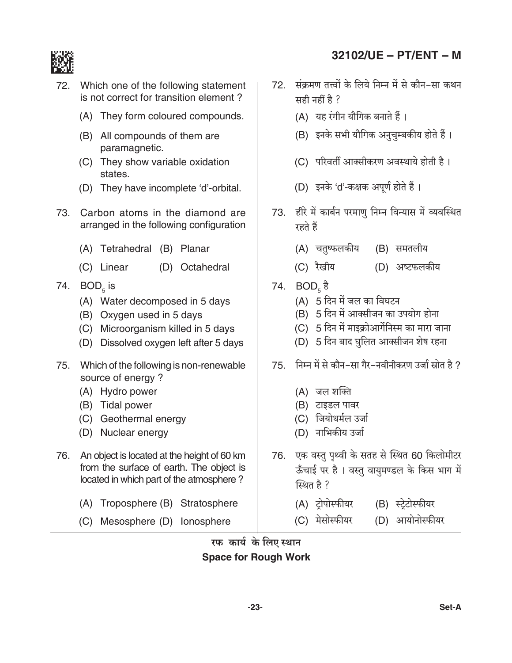

- 72. Which one of the following statement is not correct for transition element?
	- (A) They form coloured compounds.
	- (B) All compounds of them are paramagnetic.
	- (C) They show variable oxidation states.
	- (D) They have incomplete 'd'-orbital.
- 73. Carbon atoms in the diamond are arranged in the following configuration
	- (A) Tetrahedral (B) Planar
	- (C) Linear (D) Octahedral
- 74.  $BOD<sub>5</sub>$  is
	- (A) Water decomposed in 5 days
	- (B) Oxygen used in 5 days
	- (C) Microorganism killed in 5 days
	- (D) Dissolved oxygen left after 5 days
- 75. Which of the following is non-renewable source of energy?
	- (A) Hydro power
	- (B) Tidal power
	- (C) Geothermal energy
	- (D) Nuclear energy
- 76. An object is located at the height of 60 km from the surface of earth. The object is located in which part of the atmosphere?
	- (A) Troposphere (B) Stratosphere
	- (C) Mesosphere (D) lonosphere
- 72. संक्रमण तत्त्वों के लिये निम्न में से कौन-सा कथन सही नहीं है ?
	- (A) यह रंगीन यौगिक बनाते हैं।
	- (B) इनके सभी यौगिक अनुचुम्बकीय होते हैं।
	- (C) परिवर्ती आक्सीकरण अवस्थाये होती है।
	- (D) इनके 'd'-कक्षक अपूर्ण होते हैं।
- 73. हीरे में कार्बन परमाणु निम्न विन्यास में व्यवस्थित रहते हैं
	- (A) चतुष्फलकीय (B) समतलीय
	- (C) रैखीय (D) अष्टफलकीय
- 74.  $BOD<sub>5</sub>$   $\frac{3}{5}$ 
	- (A) 5 दिन में जल का विघटन
	- (B) 5 दिन में आक्सीजन का उपयोग होना
	- (C) 5 दिन में माइक्रोआर्गेनिस्म का मारा जाना
	- (D) 5 दिन बाद घुलित आक्सीजन शेष रहना
- 75. निम्न में से कौन-सा गैर-नवीनीकरण उर्जा स्रोत है ?
	- (A) जल शक्ति
	- (B) टाइडल पावर
	- (C) जियोथर्मल उर्जा
	- (D) नाभिकीय उर्जा
- 76. एक वस्तु पृथ्वी के सतह से स्थित 60 किलोमीटर ऊँचाई पर है। वस्तु वायुमण्डल के किस भाग में स्थित है ?
	- (A) ट्रोपोर्स्फीयर (B) स्ट्रेटोर्स्फीयर
	- (D) आयोनोस्फीयर (C) मेसोस्फीयर

#### रफ कार्य के लिए स्थान **Space for Rough Work**

# 32102/UE - PT/ENT - M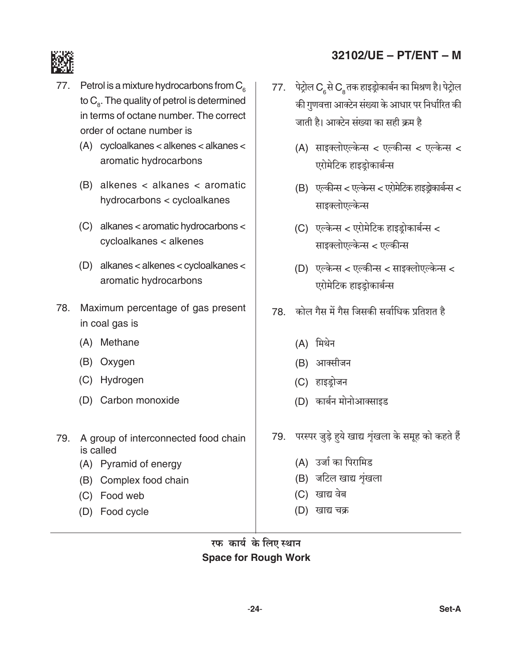



- Petrol is a mixture hydrocarbons from  $C_{\epsilon}$ 77. to  $C_{\rm s}$ . The quality of petrol is determined in terms of octane number. The correct order of octane number is
	- $(A)$  cycloalkanes < alkenes < alkanes < aromatic hydrocarbons
	- $(B)$  alkenes < alkanes < aromatic hydrocarbons < cycloalkanes
	- $(C)$  alkanes < aromatic hydrocarbons < cycloalkanes < alkenes
	- (D) alkanes < alkenes < cycloalkanes < aromatic hydrocarbons
- 78. Maximum percentage of gas present in coal gas is
	- (A) Methane
	- (B) Oxygen
	- (C) Hydrogen
	- (D) Carbon monoxide
- 79. A group of interconnected food chain is called
	- (A) Pyramid of energy
	- (B) Complex food chain
	- (C) Food web
	- (D) Food cycle
- 77. पेट्रोल C से C तक हाइड्रोकार्बन का मिश्रण है। पेट्रोल की गुणवत्ता आक्टेन संख्या के आधार पर निर्धारित की जाती है। आक्टेन संख्या का सही कम है
	- (A) साइक्लोएल्केन्स < एल्कीन्स < एल्केन्स < एरोमेटिक हाइडोकार्बन्स
	- (B) एल्कीन्स < एल्केन्स < एरोमेटिक हाइड्रोकार्बन्स < साइक्लोएल्केन्स
	- (C) एल्केन्स < एरोमेटिक हाइडोकार्बन्स < साइक्लोएल्केन्स < एल्कीन्स
	- (D) एल्केन्स < एल्कीन्स < साइक्लोएल्केन्स < एरोमेटिक हाइड़ोकार्बन्स
- 78 कोल गैस में गैस जिसकी सर्वाधिक प्रतिशत है
	- (A) मिथेन
	- (B) आर्क्सीजन
	- (C) हाइडोजन
	- (D) कार्बन मोनोआक्साइड
- 79. परस्पर जुड़े हुये खाद्य शृंखला के समूह को कहते हैं
	- (A) उर्जा का पिरामिड
	- (B) जटिल खाद्य शृंखला
	- (C) खाद्य वेब
	- (D) खाद्य चक्र
- रफ कार्य के लिए स्थान **Space for Rough Work**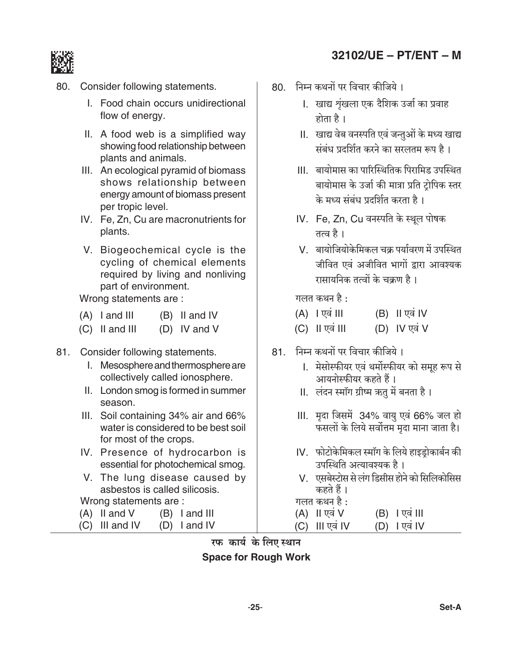# 32102/UE - PT/ENT - M



- Consider following statements. 80.
	- I. Food chain occurs unidirectional flow of energy.
	- II. A food web is a simplified way showing food relationship between plants and animals.
	- III. An ecological pyramid of biomass shows relationship between energy amount of biomass present per tropic level.
	- IV. Fe, Zn, Cu are macronutrients for plants.
	- V. Biogeochemical cycle is the cycling of chemical elements required by living and nonliving part of environment.

Wrong statements are:

- $(A)$  l and III  $(B)$  II and IV
- (D) IV and V  $(C)$  II and III
- 81. Consider following statements.
	- I. Mesosphere and thermosphere are collectively called ionosphere.
	- II. London smog is formed in summer season.
	- III. Soil containing 34% air and 66% water is considered to be best soil for most of the crops.
	- IV. Presence of hydrocarbon is essential for photochemical smog.
	- V. The lung disease caused by asbestos is called silicosis.

Wrong statements are:

- $(A)$  II and V  $(B)$  I and III
- (C) III and IV (D) I and IV
- 80. निम्न कथनों पर विचार कीजिये।
	- l. खाद्य शृंखला एक दैशिक उर्जा का प्रवाह होता है ।
	- II. खाद्य वेब वनस्पति एवं जन्तुओं के मध्य खाद्य संबंध प्रदर्शित करने का सरलतम रूप है।
	- III. बायोमास का पारिस्थितिक पिरामिड उपस्थित बायोमास के उर्जा की मात्रा प्रति टोपिक स्तर के मध्य संबंध प्रदर्शित करता है।
	- IV. Fe, Zn, Cu वनस्पति के स्थूल पोषक तत्व है ।
	- V. बायोजियोकेमिकल चक्र पर्यावरण में उपस्थित जीवित एवं अजीवित भागों द्वारा आवश्यक रासायनिक तत्वों के चक्रण है।

गलत कथन है :

| $(A)$   एवं | (B) II एवं IV |
|-------------|---------------|
|             |               |

- $(C)$  || एवं ||| (D) IV एवं V
- 81. निम्न कथनों पर विचार कीजिये।
	- l. मेसोस्फीयर एवं थर्मोस्फीयर को समूह रूप से आयनोस्फीयर कहते हैं।
	- II. लंदन स्मॉग ग्रीष्म ऋतु में बनता है।
	- III. मृदा जिसमें 34% वायु एवं 66% जल हो फसलों के लिये सर्वोत्तम मृदा माना जाता है।
	- IV. फोटोकेमिकल स्मॉग के लिये हाइडोकार्बन की उपस्थिति अत्यावश्यक है।
	- V. एसबेस्टोस से लंग डिसीस होने को सिलिकोसिस कहते हैं ।

गलत कथन है :

- $(A)$  II एवं V  $(B)$  | एवं |||
- $(D)$  | एवं IV (C) III एवं IV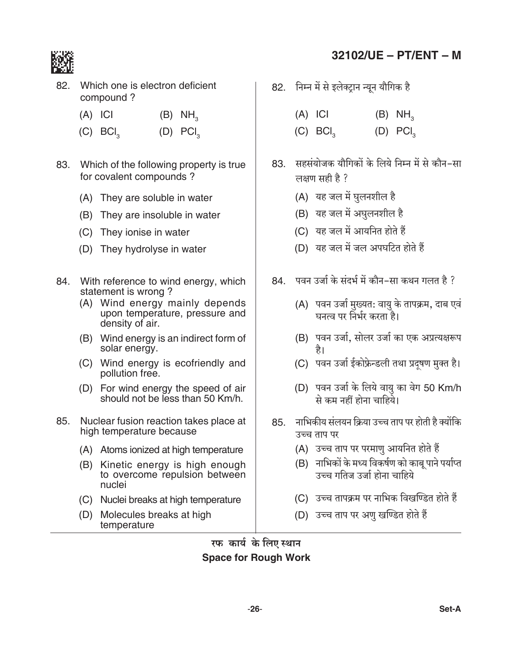

82. Which one is electron deficient compound?

- $(A)$  ICI  $(B)$  NH<sub>2</sub>
- $(C)$  BCI<sub>3</sub>  $(D)$  PCI<sub>2</sub>
- 83. Which of the following property is true for covalent compounds?
	- (A) They are soluble in water
	- (B) They are insoluble in water
	- (C) They ionise in water
	- (D) They hydrolyse in water
- 84. With reference to wind energy, which statement is wrong?
	- (A) Wind energy mainly depends upon temperature, pressure and density of air.
	- (B) Wind energy is an indirect form of solar energy.
	- (C) Wind energy is ecofriendly and pollution free.
	- (D) For wind energy the speed of air should not be less than 50 Km/h.
- Nuclear fusion reaction takes place at 85. high temperature because
	- (A) Atoms ionized at high temperature
	- (B) Kinetic energy is high enough to overcome repulsion between nuclei
	- (C) Nuclei breaks at high temperature
	- (D) Molecules breaks at high temperature

# 32102/UE - PT/ENT - M

- 82. निम्न में से इलेक्ट्रान न्यून यौगिक है
	- $(A)$  ICI  $(B)$  NH<sub>2</sub>
	- $(D)$  PCI<sub>2</sub>  $(C)$  BCI<sub>3</sub>
- 83 सहसंयोजक यौगिकों के लिये निम्न में से कौन-सा लक्षण सही है ?
	- (A) यह जल में घुलनशील है
	- (B) यह जल में अघुलनशील है
	- (C) यह जल में आयनित होते हैं
	- (D) यह जल में जल अपघटित होते हैं
- 84. पवन उर्जा के संदर्भ में कौन–सा कथन गलत है ?
	- (A) पवन उर्जा मुख्यत: वायु के तापक्रम, दाब एवं<br>घनत्व पर निर्भर करता है।
	- (B) पवन उर्जा, सोलर उर्जा का एक अप्रत्यक्षरूप है।
	- (C) पवन उर्जा ईकोफ्रेन्डली तथा प्रदूषण मुक्त है।
	- (D) पवन उर्जा के लिये वायु का वेग 50 Km/h से कम नहीं होना चाहिये।
- 85. नाभिकीय संलयन क्रिया उच्च ताप पर होती है क्योंकि उच्च ताप पर
	- (A) उच्च ताप पर परमाणु आयनित होते हैं
	- (B) नाभिकों के मध्य विकर्षण को काबू पाने पर्याप्त उच्च गतिज उर्जा होना चाहिये
	- (C) उच्च तापक्रम पर नाभिक विखण्डित होते हैं
	- (D) उच्च ताप पर अणु खण्डित होते हैं

रफ कार्य के लिए स्थान **Space for Rough Work**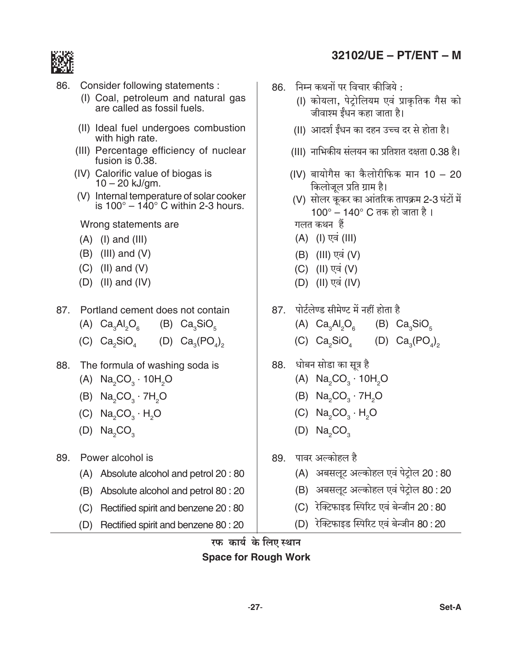

- 86. Consider following statements :
	- (I) Coal, petroleum and natural gas are called as fossil fuels.
	- (II) Ideal fuel undergoes combustion with high rate.
	- (III) Percentage efficiency of nuclear fusion is 0.38.
	- (IV) Calorific value of biogas is  $10 - 20$  kJ/gm.
	- (V) Internal temperature of solar cooker is  $100^\circ - 140^\circ$  C within 2-3 hours.

Wrong statements are

- $(A)$  (I) and (III)
- $(B)$  (III) and  $(V)$
- $(C)$  (II) and  $(V)$
- $(D)$  (II) and (IV)
- 87. Portland cement does not contain  $(A)$   $Ca<sub>3</sub>Al<sub>2</sub>O<sub>6</sub>$ (B)  $Ca<sub>3</sub>SiO<sub>5</sub>$ 
	- (C)  $Ca<sub>2</sub>SiO<sub>4</sub>$  (D)  $Ca<sub>2</sub>(PO<sub>4</sub>)<sub>2</sub>$
- 88. The formula of washing soda is
	- (A)  $Na<sub>2</sub>CO<sub>3</sub> \cdot 10H<sub>2</sub>O$
	- (B)  $Na_2CO_3 \cdot 7H_2O$
	- (C)  $Na<sub>2</sub>CO<sub>3</sub> \cdot H<sub>2</sub>O$
	- (D)  $Na<sub>2</sub>CO<sub>3</sub>$
- 89. Power alcohol is
	- (A) Absolute alcohol and petrol 20:80
	- (B) Absolute alcohol and petrol 80 : 20
	- (C) Rectified spirit and benzene 20:80
	- (D) Rectified spirit and benzene 80 : 20
- 32102/UE PT/ENT M
- 86. निम्न कथनों पर विचार कीजिये :
	- (I) कोयला, पेटोलियम एवं प्राकृतिक गैस को जीवाश्म ईंधन कहा जाता है।
	- (II) आदर्श ईंधन का दहन उच्च दर से होता है।
	- (III) नाभिकीय संलयन का प्रतिशत दक्षता 0.38 है।
	- (IV) बायोगैस का कैलोरीफिक मान 10 20 किलोजूल प्रति ग्राम है।
	- (V) सोलर कूकर का आंतरिक तापक्रम 2-3 घंटों में 100° – 140° C तक हो जाता है। गलत कथन हैं
	- (A) (I) एवं (III)
	- (B) (III) एवं (V)
	- (C) (II) एवं (V)
	- (D) (II) एव (IV)
- 87. पोर्टलेण्ड सीमेण्ट में नहीं होता है (A)  $Ca<sub>3</sub>Al<sub>2</sub>O<sub>6</sub>$ (B)  $Ca<sub>3</sub>SiO<sub>5</sub>$ (C)  $Ca<sub>2</sub>SiO<sub>4</sub>$  (D)  $Ca<sub>3</sub>(PO<sub>4</sub>)<sub>2</sub>$
- 88. धोबन सोडा का सूत्र है
	- (A)  $Na<sub>2</sub>CO<sub>3</sub> \cdot 10H<sub>2</sub>O$
	- (B)  $Na<sub>2</sub>CO<sub>2</sub> · 7H<sub>2</sub>O$
	- (C)  $Na<sub>2</sub>CO<sub>3</sub> · H<sub>2</sub>O$
	- $(D)$  Na<sub>2</sub>CO<sub>2</sub>
- 89. पावर अल्कोहल है
	- (A) अबसलूट अल्कोहल एवं पेट्रोल 20:80
	- (B) अबसलूट अल्कोहल एवं पेट्रोल 80:20
	- (C) रेक्टिफाइड स्पिरिट एवं बेन्जीन 20 : 80
	- (D) रेक्टिफाइड स्पिरिट एवं बेन्जीन 80:20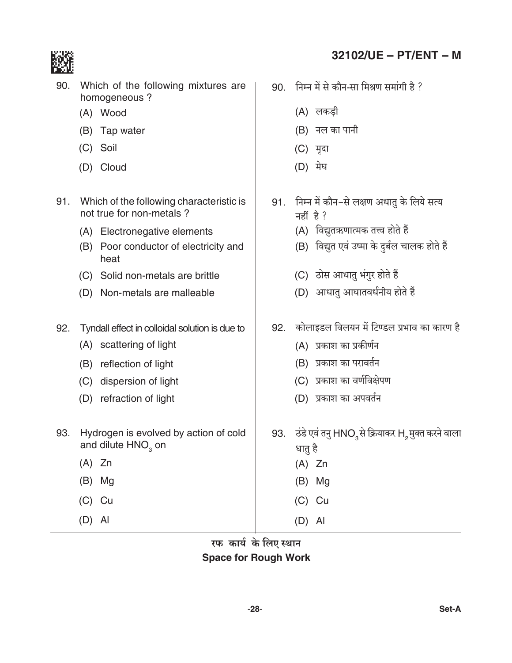

- 90. Which of the following mixtures are homogeneous?
	- (A) Wood
	- (B) Tap water
	- (C) Soil
	- (D) Cloud
- 91. Which of the following characteristic is not true for non-metals?
	- (A) Electronegative elements
	- (B) Poor conductor of electricity and heat
	- (C) Solid non-metals are brittle
	- (D) Non-metals are malleable
- 92. Tyndall effect in colloidal solution is due to
	- (A) scattering of light
	- (B) reflection of light
	- (C) dispersion of light
	- (D) refraction of light
- 93. Hydrogen is evolved by action of cold and dilute HNO<sub>3</sub> on
	- $(A)$  Zn
	- $(B)$  Mg
	- $(C)$  Cu
	- $(D)$  Al
- 32102/UE PT/ENT M
- 90. निम्न में से कौन-सा मिश्रण समांगी है ?
	- (A) लकड़ी
	- (B) नल का पानी
	- (C) मृदा
	- (D) मेघ
- 91. निम्न में कौन-से लक्षण अधातु के लिये सत्य नहीं है?
	- (A) विद्युतऋणात्मक तत्त्व होते हैं
	- (B) विद्युत एवं उष्मा के दुर्बल चालक होते हैं
	- (C) ठोस आधातु भंगुर होते हैं
	- (D) आधातु आघातवर्धनीय होते हैं
- 92. कोलाइडल विलयन में टिण्डल प्रभाव का कारण है
	- (A) प्रकाश का प्रकीर्णन
	- (B) प्रकाश का परावर्तन
	- (C) प्रकाश का वर्णविक्षेपण
	- (D) प्रकाश का अपवर्तन
- 93. टंडे एवं तनु HNO3से क्रियाकर H2 मुक्त करने वाला धातु है
	- $(A)$  Zn
	- $(B)$  Mg
	- $(C)$  Cu
	- $(D)$  Al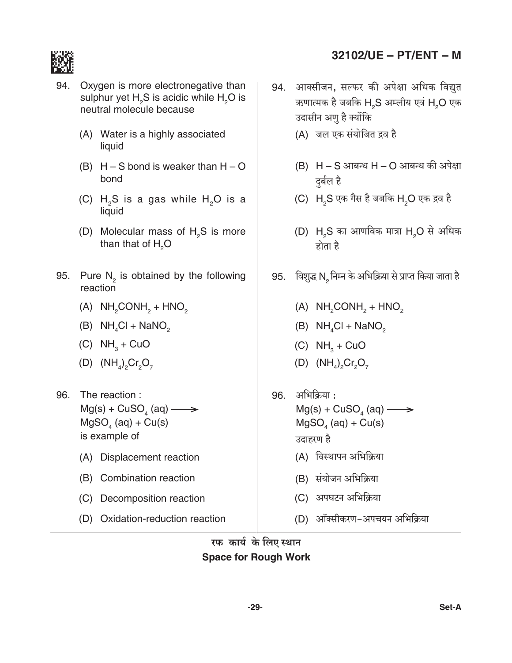

- 94. Oxygen is more electronegative than sulphur yet H<sub>2</sub>S is acidic while H<sub>2</sub>O is neutral molecule because
	- (A) Water is a highly associated liquid
	- (B)  $H-S$  bond is weaker than  $H-O$ bond
	- (C)  $H_5S$  is a gas while  $H_5O$  is a liquid
	- (D) Molecular mass of H<sub>2</sub>S is more than that of  $H<sub>2</sub>O$
- 95. Pure  $N_2$  is obtained by the following reaction
	- $(A)$  NH<sub>2</sub>CONH<sub>2</sub> + HNO<sub>2</sub>
	- (B)  $NH_4Cl + NaNO_2$
	- (C)  $NH<sub>3</sub> + CuO$
	- (D)  $(NH_4)_{2}Cr_2O_7$
- 96. The reaction :  $Mg(s) + CuSO<sub>4</sub> (aq) \longrightarrow$  $MgSO<sub>a</sub>$  (aq) + Cu(s) is example of
	- (A) Displacement reaction
	- (B) Combination reaction
	- (C) Decomposition reaction
	- (D) Oxidation-reduction reaction
- 32102/UE PT/ENT M
- 94. आक्सीजन, सल्फर की अपेक्षा अधिक विद्युत ऋणात्मक है जबकि H2S अम्लीय एवं H2O एक उदासीन अणु है क्योंकि
	- (A) जल एक संयोजित द्रव है
	- (B) H S आबन्ध H O आबन्ध की अपेक्षा दुर्बल है
	- (C) H<sub>2</sub>S एक गैस है जबकि H<sub>2</sub>O एक द्रव है
	- (D) H<sub>2</sub>S का आणविक मात्रा H<sub>2</sub>O से अधिक होता है
- 95. विशुद्ध N निम्न के अभिक्रिया से प्राप्त किया जाता है
	- (A)  $NH<sub>2</sub>CONH<sub>2</sub> + HNO<sub>2</sub>$
	- (B)  $NH_{4}Cl + NaNO_{2}$
	- $(C)$  NH<sub>2</sub> + CuO
	- (D)  $(NH_4)_{2}Cr_2O_7$
- 96. अभिक्रिया:  $Mg(s) + CuSO<sub>a</sub>(aq) \longrightarrow$  $MgSO<sub>4</sub>$  (aq) + Cu(s) उदाहरण है
	- (A) विस्थापन अभिक्रिया
	- (B) संयोजन अभिक्रिया
	- (C) अपघटन अभिक्रिया
	- (D) ऑक्सीकरण-अपचयन अभिक्रिया

रफ कार्य के लिए स्थान **Space for Rough Work**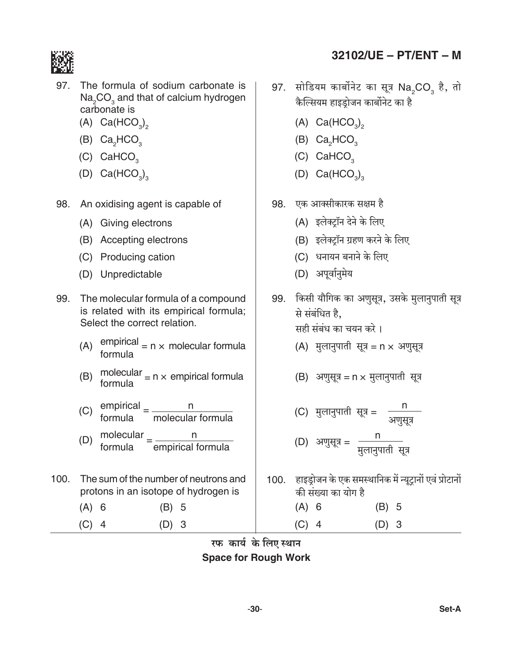

- 97. The formula of sodium carbonate is Na<sub>2</sub>CO<sub>2</sub> and that of calcium hydrogen carbonate is
	- $(A)$  Ca(HCO<sub>3</sub>)<sub>2</sub>
	- (B) Ca<sub>2</sub>HCO<sub>2</sub>
	- (C) CaHCO<sub>2</sub>
	- (D)  $Ca(HCO<sub>3</sub>)<sub>3</sub>$
- 98. An oxidising agent is capable of
	- (A) Giving electrons
	- (B) Accepting electrons
	- (C) Producing cation
	- (D) Unpredictable
- 99. The molecular formula of a compound is related with its empirical formula; Select the correct relation.
	- empirical  $= n \times$  molecular formula  $(A)$ formula
	- (B) molecular  $= n \times$  empirical formula<br>formula
	- (C) empirical  $=\frac{n}{\text{molecular formula}}$
	- (D) molecular  $=\frac{n}{2}$ empirical formula formula
- 100. The sum of the number of neutrons and protons in an isotope of hydrogen is
	- $(A)$  6  $(B)$  5
	- $(C)$  4  $(D)$  3
- 32102/UE PT/ENT M
- 97. सोडियम कार्बोनेट का सूत्र Na<sub>2</sub>CO<sub>3</sub> है, तो कैल्सियम हाइडोजन कार्बोनेट का है
	- (A)  $Ca(HCO<sub>3</sub>)$ ,
	- (B)  $Ca<sub>2</sub>HCO<sub>3</sub>$
	- (C) CaHCO<sub>2</sub>
	- (D)  $Ca(HCO<sub>3</sub>)<sub>3</sub>$
- 98. एक आक्सीकारक सक्षम है
	- (A) इलेक्टॉन देने के लिए
	- (B) इलेक्ट्रॉन ग्रहण करने के लिए
	- (C) धनायन बनाने के लिए
	- (D) अपूर्वानुमेय
- 99. किसी यौगिक का अणुसूत्र, उसके मुलानुपाती सूत्र से संबंधित है. सही संबंध का चयन करे।
	- (A) मुलानुपाती सूत्र = n  $\times$  अणुसूत्र

- (C) मुलानुपाती सूत्र =  $\frac{n}{\text{supp}x}$ (D) अणुसूत्र =  $\frac{n}{4\pi}$
- 100. हाइड्रोजन के एक समस्थानिक में न्यूट्रानों एवं प्रोटानों की संख्या का योग है  $(A)$  6  $(B)$  5

 $(D)$  3

 $(C)$  4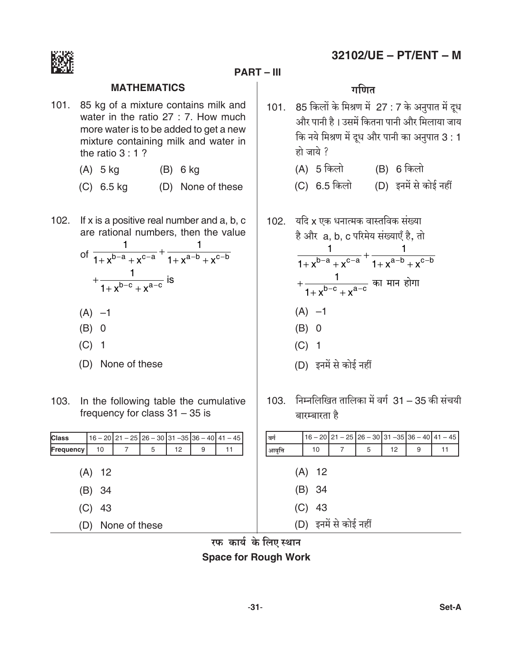

#### **PART – III**

#### **Mathematics** *J{UV*

- 101. 85 kg of a mixture contains milk and water in the ratio 27 : 7. How much more water is to be added to get a new mixture containing milk and water in the ratio 3 : 1 ?
	- (A) 5 kg (B) 6 kg
	- (C) 6.5 kg (D) None of these
- 102. If x is a positive real number and a, b, c are rational numbers, then the value

of 
$$
\frac{1}{1+x^{b-a}+x^{c-a}} + \frac{1}{1+x^{a-b}+x^{c-b}}
$$

$$
+\frac{1}{1+x^{b-c}+x^{a-c}} \text{ is}
$$

- $(A) -1$
- (B) 0
- (C) 1
- (D) None of these
- 103. In the following table the cumulative frequency for class 31 – 35 is

| <b>Class</b>                   |    | $16 - 20$   21 - 25   26 - 30   31 - 35   36 - 40   41 - 45 |   |    |   |    |  |
|--------------------------------|----|-------------------------------------------------------------|---|----|---|----|--|
| Frequency                      | 10 | 7                                                           | 5 | 12 | 9 | 11 |  |
| $(A)$ 12<br>(B) 34<br>$(C)$ 43 |    |                                                             |   |    |   |    |  |
| None of these<br>(D)           |    |                                                             |   |    |   |    |  |

- 101. 85 किलों के मिश्रण में 27 : 7 के अनुपात में दुध *Am¡a nmZr h¡ & Cg\_| {H\$VZm nmZr Am¡a {\_bm`m Om` {H\$ Z`o {\_lU \_| XyY Am¡a nmZr H\$m AZwnmV* 3 : 1 *hmo Om`o ?*
	- (A) 5 किलो (B) 6 किलो
	- (C) 6.5 किलो (D) इनमें से कोई नहीं
- 102. यदि x एक धनात्मक वास्तविक संख्या  $\dot{\vec{c}}$  और a, b, c परिमेय संख्याएँ है, तो 1 1 1  $+x^{D-a}+x^{C-a}$  1 1 1 +  $x^{b-a} + x^{c-a}$  1 +  $x^{a-b} + x^{c-b}$ + + + − − x x b c a c *H\$m \_mZ hmoJm*  $(A) -1$ (B) 0 (C) 1 (D) इनमें से कोई नहीं
- 103. निम्नलिखित तालिका में वर्ग 31 35 की संचयी *~maå~maVm h¡*

| बर्ग    |                                |                       |   |    |   | $16 - 20$ 21 - 25 26 - 30 31 - 35 36 - 40 41 - 45 |
|---------|--------------------------------|-----------------------|---|----|---|---------------------------------------------------|
| आवृत्ति | 10                             | 7                     | 5 | 12 | 9 | 11                                                |
|         | $(A)$ 12<br>(B) 34<br>$(C)$ 43 | (D) इनमें से कोई नहीं |   |    |   |                                                   |

*a\\$ H\$m`© Ho\$ {bE ñWmZ* **Space for Rough Work**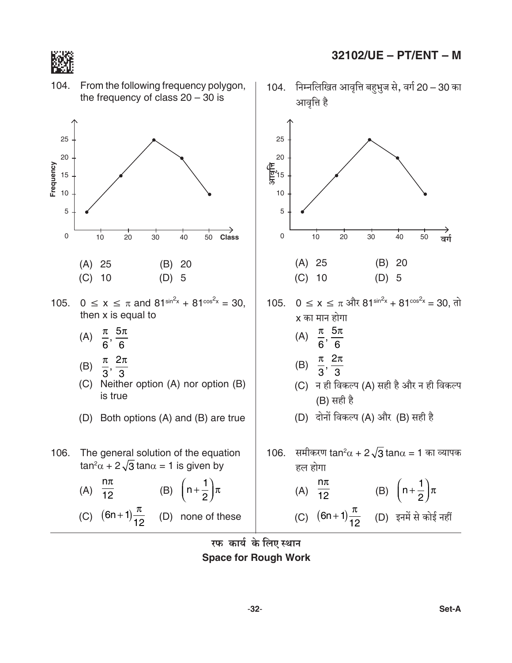

104. 104. निम्नलिखित आवृत्ति बहुभुज से, वर्ग 20 – 30 का From the following frequency polygon, the frequency of class  $20 - 30$  is आवृत्ति है 25 25 20 20  $\frac{\sqrt{12}}{3}$ 15 Frequency 15  $10$  $10$  $\mathbf 5$ 5  $\overline{0}$  $10$  $\mathsf 0$  $\overline{20}$  $\overline{30}$  $40$  $10$  $20$  $30<sup>2</sup>$  $40$ Class 50 50 ਕर्ग  $(A)$  25  $(B)$  20  $(A)$  25  $(B)$  20  $(C)$  10  $(C)$  10  $(D)$  5  $(D)$  5 105.  $0 \le x \le \pi$  and  $81^{\sin^2 x} + 81^{\cos^2 x} = 30$ . 105. 0 ≤ x ≤ π और 81<sup>sin<sup>2</sup>x</sup> + 81<sup>cos2</sup>x = 30, तो then x is equal to x का मान होगा (A)  $\frac{\pi}{6}, \frac{5\pi}{6}$ (A)  $\frac{\pi}{6}, \frac{5\pi}{6}$ (B)  $\frac{\pi}{3}, \frac{2\pi}{3}$ (B)  $\frac{\pi}{3}, \frac{2\pi}{3}$ (C) Neither option (A) nor option (B) (C) न ही विकल्प (A) सही है और न ही विकल्प is true (B) सही है (D) दोनों विकल्प (A) और (B) सही है (D) Both options (A) and (B) are true 106. समीकरण  $tan^2\alpha + 2\sqrt{3}$   $tan\alpha = 1$  का व्यापक The general solution of the equation 106.

(A) 
$$
\frac{n\pi}{12}
$$
 (B)  $\left(n + \frac{1}{2}\right)\pi$   
(C)  $(6n+1)\frac{\pi}{12}$  (D) none of these

 $\tan^2\alpha + 2\sqrt{3} \tan\alpha = 1$  is given by

हल होगा (A)  $\frac{n\pi}{12}$ (B)  $\left(n+\frac{1}{2}\right)\pi$ (C)  $(6n+1)\frac{\pi}{12}$  (D) इनमें से कोई नहीं

रफ कार्य के लिए स्थान **Space for Rough Work**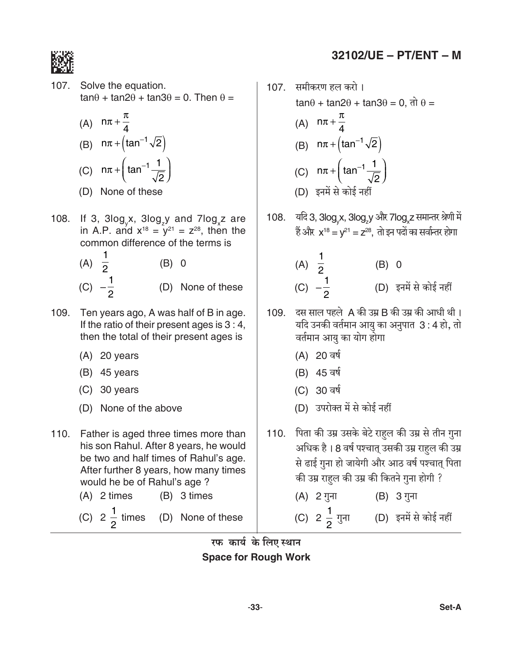

107. Solve the equation.  $tan\theta + tan2\theta + tan3\theta = 0$ . Then  $\theta =$ 

(A) 
$$
n\pi + \frac{\pi}{4}
$$
  
\n(B)  $n\pi + (\tan^{-1}\sqrt{2})$   
\n(C)  $n\pi + (\tan^{-1}\frac{1}{\sqrt{2}})$ 

- (D) None of these
- 108. If 3, 3log<sub>y</sub>x, 3log<sub>y</sub> and 7log<sub>y</sub>z are in A.P. and  $x^{18} = y^{21} = z^{28}$ , then the common difference of the terms is
	- (A)  $\overline{2}$  $(B) 0$ (C)  $-\frac{1}{2}$ (D) None of these
- 109. Ten years ago, A was half of B in age. If the ratio of their present ages is  $3:4$ , then the total of their present ages is
	- $(A)$  20 years
	- $(B)$  45 years
	- $(C)$  30 years
	- (D) None of the above
- 110. Father is aged three times more than his son Rahul. After 8 years, he would be two and half times of Rahul's age. After further 8 years, how many times would he be of Rahul's age?
	- (B) 3 times  $(A)$  2 times
	- (C)  $2\frac{1}{2}$  times (D) None of these
- 32102/UE PT/ENT M
- 107. समीकरण हल करो।  $\tan\theta$  +  $\tan2\theta$  +  $\tan3\theta$  = 0,  $\pi$   $\theta$  = (A)  $n\pi + \frac{\pi}{4}$ (B)  $n\pi + (\tan^{-1}\sqrt{2})$ (C)  $n\pi + \left(\tan^{-1} \frac{1}{\sqrt{2}}\right)$ (D) इनमें से कोई नहीं
- 108. यदि 3, 3log x, 3log y और 7log z समान्तर श्रेणी में हैं और  $x^{18} = v^{21} = z^{28}$ . तो इन पदों का सर्वान्तर होगा

(A) 
$$
\frac{1}{2}
$$
 (B) 0  
(C)  $-\frac{1}{2}$  (D)  $\overline{z} + \overline{u} + \overline{u} + \overline{u} + \overline{u} + \overline{u} + \overline{u} + \overline{u} + \overline{u} + \overline{u} + \overline{u} + \overline{u} + \overline{u} + \overline{u} + \overline{u} + \overline{u} + \overline{u} + \overline{u} + \overline{u} + \overline{u} + \overline{u} + \overline{u} + \overline{u} + \overline{u} + \overline{u} + \overline{u} + \overline{u} + \overline{u} + \overline{u} + \overline{u} + \overline{u} + \overline{u} + \overline{u} + \overline{u} + \overline{u} + \overline{u} + \overline{u} + \overline{u} + \overline{u} + \overline{u} + \overline{u} + \overline{u} + \overline{u} + \overline{u} + \overline{u} + \overline{u} + \overline{u} + \overline{u} + \overline{u} + \overline{u} + \overline{u} + \overline{u} + \overline{u} + \overline{u} + \overline{u} + \overline{u} + \overline{u} + \overline{u} + \overline{u} + \overline{u} + \overline{u} + \overline{u} + \overline{u} + \overline{u} + \overline{u} + \overline{u} + \overline{u} + \overline{u} + \overline{u} + \overline{u} + \overline{u} + \overline{u} + \overline{u} + \overline{u} + \overline{u} + \overline{u} + \overline{u} + \overline{u} + \overline{u} + \overline{u} + \overline{u} + \overline{u} + \overline{u} + \overline{u} + \overline{u} + \overline{u} + \overline{u} + \overline{u} + \overline{u} + \overline{u} + \overline{u} + \overline{u} + \overline{u} + \overline{u} + \overline{u} + \overline{u} + \overline{u} + \overline{u} + \overline{u} + \overline{u} + \overline{u} + \overline{u} + \overline{u} + \overline{u$ 

- 109. दस साल पहले A की उम्र B की उम्र की आधी थी। यदि उनकी वर्तमान आयु का अनुपात 3:4 हो, तो वर्तमान आयु का योग होगा
	- (A) 20 वर्ष
	- (B) 45 वर्ष
	- (C) 30 वर्ष
	- (D) उपरोक्त में से कोई नहीं
- 110. पिता की उम्र उसके बेटे राहुल की उम्र से तीन गुना अधिक है। 8 वर्ष पश्चात् उसकी उम्र राहुल की उम्र से ढाई गुना हो जायेगी और आठ वर्ष पश्चात् पिता की उम्र राहुल की उम्र की कितने गुना होगी ?
	- (A) 2 गुना (B) 3 गुना
	- (C) 2  $\frac{1}{2}$  गुना (D) इनमें से कोई नहीं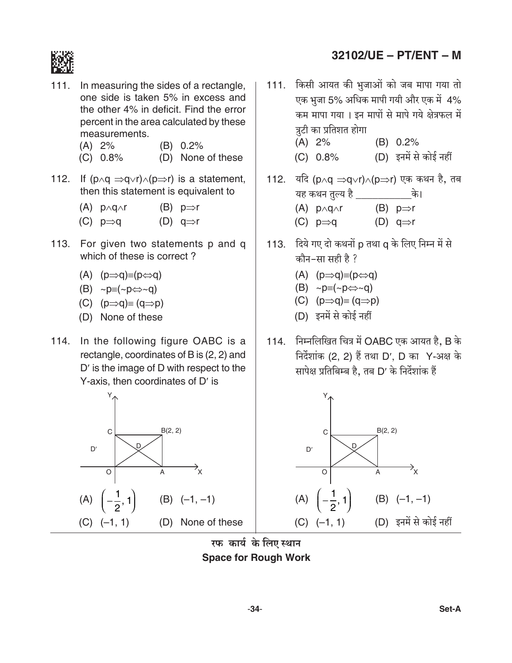

- $111.$ In measuring the sides of a rectangle, one side is taken 5% in excess and the other 4% in deficit. Find the error percent in the area calculated by these measurements.
	- (B) 0.2%  $(A) 2%$
	- (D) None of these  $(C) 0.8%$
- 112. If  $(p \land q \Rightarrow q \lor r) \land (p \Rightarrow r)$  is a statement, then this statement is equivalent to
	- $(A)$  p $\land$ g $\land$ r (B)  $p \Rightarrow r$
	- (C)  $p \Rightarrow q$ (D)  $q \Rightarrow r$
- 113. For given two statements p and q which of these is correct?
	- (A)  $(p \implies q) \equiv (p \Leftrightarrow q)$
	- (B)  $\sim p \equiv (\sim p \Leftrightarrow \sim q)$
	- (C)  $(p \Rightarrow q) \equiv (q \Rightarrow p)$
	- (D) None of these
- 114. In the following figure OABC is a rectangle, coordinates of B is (2, 2) and D' is the image of D with respect to the Y-axis, then coordinates of D' is



### 32102/UE - PT/ENT - M

- 111. किसी आयत की भुजाओं को जब मापा गया तो एक भुजा 5% अधिक मापी गयी और एक में 4% कम मापा गया। इन मापों से मापे गये क्षेत्रफल में त्रटी का प्रतिशत होगा  $(A) 2%$  $(B) 0.2%$ 
	- (D) इनमें से कोई नहीं  $(C) 0.8%$
- 112. यदि (p∧q ⇒q∨r)∧(p⇒r) एक कथन है, तब यह कथन तुल्य है जिला की।  $(A)$  p $\wedge$ q $\wedge$ r (B)  $p \Rightarrow r$ (C)  $p \Rightarrow q$ (D)  $q \Rightarrow r$
- 113. दिये गए दो कथनों p तथा q के लिए निम्न में से कौन-सा सही है ?
	- (A)  $(p \Rightarrow q) \equiv (p \Leftrightarrow q)$
	- (B)  $\sim p \equiv (\sim p \Leftrightarrow \sim q)$
	- (C)  $(p \implies q) \equiv (q \implies p)$
	- (D) इनमें से कोई नहीं
- 114. निम्नलिखित चित्र में OABC एक आयत है, B के निर्देशांक (2, 2) हैं तथा D', D का Y-अक्ष के सापेक्ष प्रतिबिम्ब है, तब D' के निर्देशांक हैं



रफ कार्य के लिए स्थान **Space for Rough Work**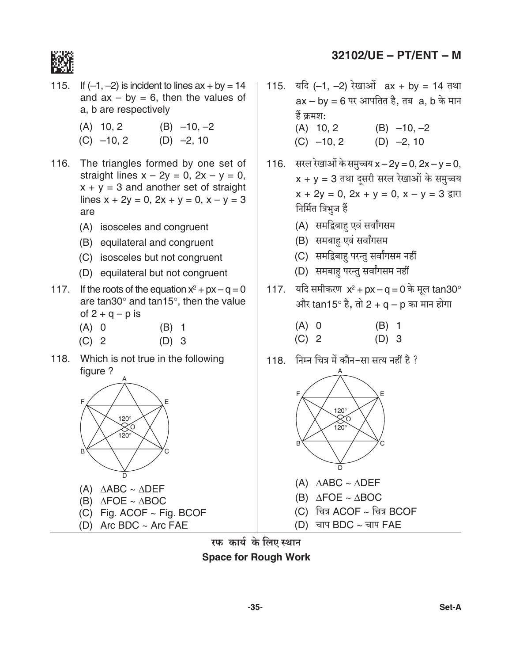

- 115. If  $(-1, -2)$  is incident to lines  $ax + by = 14$ and  $ax - by = 6$ , then the values of a, b are respectively
	- $(A)$  10, 2  $(B) -10, -2$
	- $(D) -2, 10$  $(C)$  -10, 2
- 116. The triangles formed by one set of straight lines  $x - 2y = 0$ ,  $2x - y = 0$ ,  $x + y = 3$  and another set of straight lines  $x + 2y = 0$ ,  $2x + y = 0$ ,  $x - y = 3$ are
	- (A) isosceles and congruent
	- (B) equilateral and congruent
	- (C) isosceles but not congruent
	- (D) equilateral but not congruent
- 117. If the roots of the equation  $x^2 + px q = 0$ are tan  $30^{\circ}$  and tan  $15^{\circ}$ , then the value of  $2 + q - p$  is
	- $(A)$  0  $(B)$  1
	- $(C)$  2  $(D)$  3
- 118. Which is not true in the following figure ?



- (A)  $\triangle ABC \sim \triangle DEF$
- (B)  $\triangle FOE \sim \triangle BOC$
- (C) Fig. ACOF  $\sim$  Fig. BCOF
- (D) Arc BDC  $\sim$  Arc FAE
- 32102/UE PT/ENT M
- 115. यदि (-1, -2) रेखाओं  $ax + by = 14$  तथा  $ax - by = 6$  पर आपतित है, तब a, b के मान हैं क्रमश:  $(A)$  10, 2  $(B) -10, -2$  $(C) -10, 2$  $(D) -2, 10$
- 116. सरल रेखाओं के समुच्चय x 2y = 0, 2x y = 0,  $x + y = 3$  तथा दूसरी सरल रेखाओं के समुच्चय  $x + 2y = 0$ ,  $2x + y = 0$ ,  $x - y = 3$  द्वारा निर्मित त्रिभुज हैं
	- (A) समद्विबाह एवं सर्वांगसम
	- (B) समबाह एवं सर्वांगसम
	- (C) समद्विबाह परन्तु सर्वांगसम नहीं
	- (D) समबाह परन्तु सर्वांगसम नहीं
- 117. यदि समीकरण  $x^2 + px q = 0$  के मूल tan30° और tan15° है, तो 2 + q - p का मान होगा
	- $(A)$  0  $(B)$  1  $(C)$  2  $(D)$  3
- 118. निम्न चित्र में कौन-सा सत्य नहीं है ?



- (A)  $\triangle ABC \sim \triangle DEF$
- (B)  $\triangle FOE \sim \triangle BOC$
- (C) चित्र ACOF ~ चित्र BCOF
- (D) चाप BDC ~ चाप FAE

रफ कार्य के लिए स्थान **Space for Rough Work**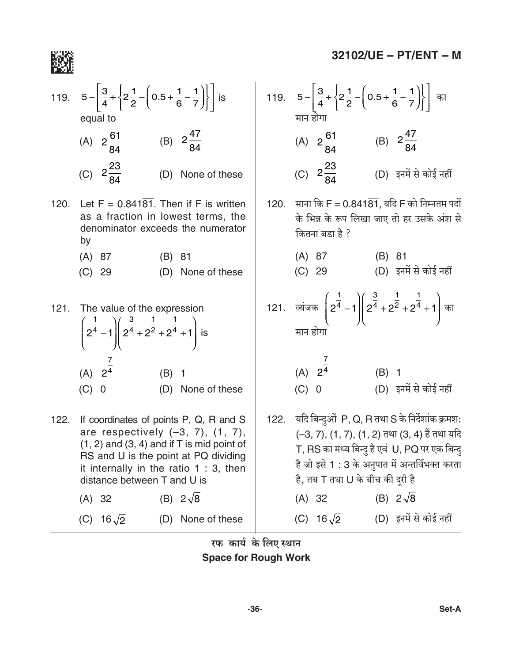

119. 
$$
5 - \left[\frac{3}{4} + \left{2\frac{1}{2} - \left(0.5 + \frac{1}{6} - \frac{1}{7}\right)\right}\right]
$$
 is equal to  
\nequal to  
\n(A)  $2\frac{61}{84}$  (B)  $2\frac{47}{84}$  (A)  $2\frac{23}{84}$   
\n(C)  $2\frac{23}{84}$  (D) None of these  
\nas a fraction in lowest terms, the denominator exceeds the numerator by  
\n(A) 87 (B) 81  
\n(C) 29 (D) None of these  
\n121. The value of the expression  
\n $\left(2^{\frac{1}{4}} - 1\right)\left(2^{\frac{3}{4}} + 2^{\frac{1}{2}} + 2^{\frac{1}{4}} + 1\right)$  is  
\n(A)  $2^{\frac{7}{4}}$   
\n(A)  $2^{\frac{7}{4}}$   
\n(B) 1  
\n(C) 0 (D) None of these  
\n122. If coordinates of points P, Q, R and S  
\nare respectively (-3, 7), (1, 7),  
\n(1, 2) and (3, 4) and if T is mid point of  
\nRS and U is the point at PQ dividing  
\nit internally in the ratio 1 : 3, then  
\n $\frac{3}{6}$  and  $\frac{3}{6}$  and  $\frac{3}{6}$ 

distance between T and U is

 $(A) 32$ 

(C)  $16\sqrt{2}$ 

(B)  $2\sqrt{8}$ 

(D) None of these

119. 
$$
5 - \left[\frac{3}{4} + \left\{2\frac{1}{2} - \left(0.5 + \frac{1}{6} - \frac{1}{7}\right)\right\}\right]
$$
 का  
मान होगा  
(A)  $2\frac{61}{84}$  (B)  $2\frac{47}{84}$   
(C)  $2\frac{23}{84}$  (D)  $z\pi\ddot{r}$   $\dot{r}$   $\dot{r}$   $\dot{r}$   $\dot{r}$ 

दों के रूप लिखा जाए तो हर उसके अंश से ग्डा है ?

- $\overline{z}$  $(B) 81$ (D) इनमें से कोई नहीं
- $\left(2^{\frac{1}{4}}-1\right)\left(2^{\frac{3}{4}}+2^{\frac{1}{2}}+2^{\frac{1}{4}}+1\right)$  का

(A) 
$$
2^{\frac{7}{4}}
$$
 (B) 1  
(C) 0 (D)  $\overline{z} + \overline{u} + \overline{u} + \overline{v} + \overline{v} + \overline{v} + \overline{v} + \overline{v} + \overline{v} + \overline{v} + \overline{v} + \overline{v} + \overline{v} + \overline{v} + \overline{v} + \overline{v} + \overline{v} + \overline{v} + \overline{v} + \overline{v} + \overline{v} + \overline{v} + \overline{v} + \overline{v} + \overline{v} + \overline{v} + \overline{v} + \overline{v} + \overline{v} + \overline{v} + \overline{v} + \overline{v} + \overline{v} + \overline{v} + \overline{v} + \overline{v} + \overline{v} + \overline{v} + \overline{v} + \overline{v} + \overline{v} + \overline{v} + \overline{v} + \overline{v} + \overline{v} + \overline{v} + \overline{v} + \overline{v} + \overline{v} + \overline{v} + \overline{v} + \overline{v} + \overline{v} + \overline{v} + \overline{v} + \overline{v} + \overline{v} + \overline{v} + \overline{v} + \overline{v} + \overline{v} + \overline{v} + \overline{v} + \overline{v} + \overline{v} + \overline{v} + \overline{v} + \overline{v} + \overline{v} + \overline{v} + \overline{v} + \overline{v} + \overline{v} + \overline{v} + \overline{v} + \overline{v} + \overline{v} + \overline{v} + \overline{v} + \overline{v} + \overline{v} + \overline{v} + \overline{v} + \overline{v} + \overline{v} + \overline{v} + \overline{v} + \overline{v} + \overline{v} + \overline{v} + \overline{v} + \overline{v} + \overline{v} + \overline{v} + \overline{v} + \overline{v} + \overline{v} + \overline{v} + \overline{v} + \overline{v} + \overline{v} + \overline{v} + \overline{v} + \overline{v} + \overline{v$ 

इओं P, Q, R तथा S के निर्देशांक क्रमश: ), (1, 7), (1, 2) तथा (3, 4) हैं तथा यदि का मध्य बिन्दु है एवं U, PQ पर एक बिन्दु .<br>ते 1 : 3 के अनुपात में अन्तर्विभक्त करता है, तब T तथा U के बीच की दूरी है  $(A) 32$ (B)  $2\sqrt{8}$ (C)  $16\sqrt{2}$  (D) इनमें से कोई नहीं

रफ कार्य के लिए स्थान

**Space for Rough Work**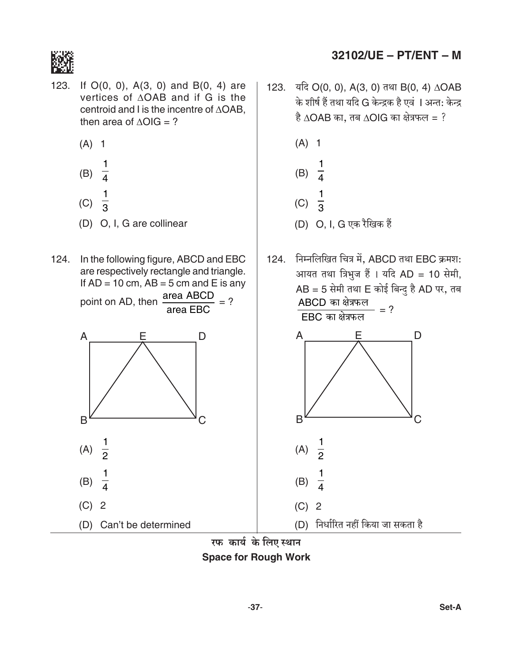

- $123.$ If  $O(0, 0)$ ,  $A(3, 0)$  and  $B(0, 4)$  are vertices of  $\triangle OAB$  and if G is the centroid and I is the incentre of ∆OAB, then area of  $\triangle OIG = ?$ 
	- $(A)$  1
	- (B)  $\frac{1}{4}$  $(C)$
	- (D) O, I, G are collinear
- 124. In the following figure, ABCD and EBC are respectively rectangle and triangle. If  $AD = 10$  cm,  $AB = 5$  cm and E is any
	- point on AD, then area ABCD area EBC A E D B C  $\frac{1}{2}$  $(A)$ 1  $(B)$  $(C)$  2

(D) Can't be determined

123. यदि O(0, 0), A(3, 0) तथा B(0, 4) ∆OAB के शीर्ष हैं तथा यदि G केन्द्रक है एवं । अन्त: केन्द्र है  $\triangle$ OAB का, तब  $\triangle$ OIG का क्षेत्रफल = ?



124. निम्नलिखित चित्र में, ABCD तथा EBC क्रमश: आयत तथा त्रिभुज हैं । यदि AD = 10 सेमी,  $AB = 5$  सेमी तथा E कोई बिन्दु है AD पर, तब ABCD का क्षेत्रफल  $= ?$  $EBC$  का क्षेत्रफल A Е D B  $\frac{1}{2}$  $(A)$  $(B)$  $(C)$  2 (D) निर्धारित नहीं किया जा सकता है

रफ कार्य के लिए स्थान **Space for Rough Work**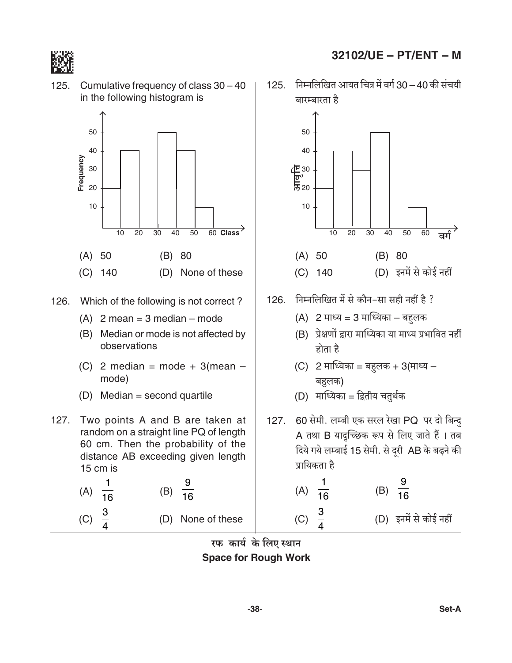

- (D) Median = second quartile
- $127.$ Two points A and B are taken at random on a straight line PQ of length 60 cm. Then the probability of the distance AB exceeding given length 15 cm is

(A) 
$$
\frac{1}{16}
$$
 (B)  $\frac{9}{16}$   
(C)  $\frac{3}{4}$  (D) None of these

 $\overline{4}$ 

# 32102/UE - PT/ENT - M

125. निम्नलिखित आयत चित्र में वर्ग 30 - 40 की संचयी बारम्बारता है

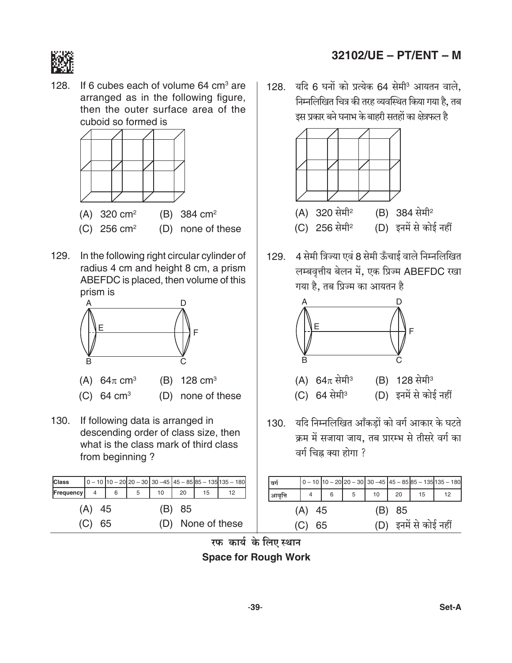

 $128.$ If 6 cubes each of volume 64 cm<sup>3</sup> are arranged as in the following figure, then the outer surface area of the cuboid so formed is



129. In the following right circular cylinder of radius 4 cm and height 8 cm, a prism ABEFDC is placed, then volume of this prism is



- (A) 64 $\pi$  cm<sup>3</sup> (B)  $128 \text{ cm}^3$
- (C) 64  $cm<sup>3</sup>$
- (D) none of these
- 130. If following data is arranged in descending order of class size, then what is the class mark of third class from beginning?

| <b>Class</b>                |  |   |                |    |    |    | $\left  0 - 10 \right  10 - 20 \left  20 - 30 \right  30 - 45 \left  45 - 85 \right  85 - 135 \left  135 - 180 \right $ |  |
|-----------------------------|--|---|----------------|----|----|----|-------------------------------------------------------------------------------------------------------------------------|--|
| Frequency                   |  | 6 | 5 <sup>7</sup> | 10 | 20 | 15 | 12                                                                                                                      |  |
| $(A)$ 45<br>(B) 85          |  |   |                |    |    |    |                                                                                                                         |  |
| (D) None of these<br>(C) 65 |  |   |                |    |    |    |                                                                                                                         |  |

# 32102/UE - PT/ENT - M

128. यदि 6 घनों को प्रत्येक 64 सेमी<sup>3</sup> आयतन वाले, निम्नलिखित चित्र की तरह व्यवस्थित किया गया है. तब इस प्रकार बने घनाभ के बाहरी सतहों का क्षेत्रफल है



129. 4 सेमी त्रिज्या एवं 8 सेमी ऊँचाई वाले निम्नलिखित लम्बवृत्तीय बेलन में, एक प्रिज्म ABEFDC रखा गया है. तब प्रिज्म का आयतन है



- (B) 128 सेमी<sup>3</sup> (A)  $64\pi$  सेमी<sup>3</sup> (C) 64 सेमी<sup>3</sup> (D) इनमें से कोई नहीं
- 130. यदि निम्नलिखित आँकड़ों को वर्ग आकार के घटते क्रम में सजाया जाय, तब प्रारम्भ से तीसरे वर्ग का वर्ग चिह्न क्या होगा ?

| ∣बर्ग                           |  |   |   |    |    |    | $\left[0-10\right]$ 10 - 20 $\left[20-30\right]$ 30 - 45 $\left[45-85\right]$ 85 - 135 $\left[135-180\right]$ |
|---------------------------------|--|---|---|----|----|----|---------------------------------------------------------------------------------------------------------------|
| आवृत्ति                         |  | 6 | 5 | 10 | 20 | 15 | 12                                                                                                            |
| $(A)$ 45<br>(B) 85              |  |   |   |    |    |    |                                                                                                               |
| (D) इनमें से कोई नहीं<br>(C) 65 |  |   |   |    |    |    |                                                                                                               |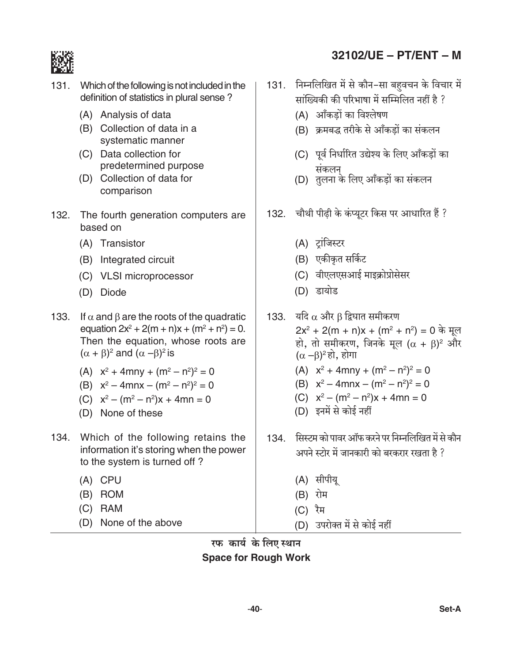

- 131. Which of the following is not included in the definition of statistics in plural sense?
	- (A) Analysis of data
	- (B) Collection of data in a systematic manner
	- (C) Data collection for predetermined purpose
	- (D) Collection of data for comparison
- $132.$ The fourth generation computers are. based on
	- (A) Transistor
	- (B) Integrated circuit
	- (C) VLSI microprocessor
	- (D) Diode
- 133. If  $\alpha$  and  $\beta$  are the roots of the quadratic equation  $2x^2 + 2(m + n)x + (m^2 + n^2) = 0$ . Then the equation, whose roots are  $(\alpha + \beta)^2$  and  $(\alpha - \beta)^2$  is
	- (A)  $x^2 + 4mny + (m^2 n^2)^2 = 0$
	- (B)  $x^2 4mnx (m^2 n^2)^2 = 0$
	- (C)  $x^2 (m^2 n^2)x + 4mn = 0$
	- (D) None of these
- 134. Which of the following retains the information it's storing when the power to the system is turned off?
	- $(A)$  CPU
	- (B) ROM
	- $(C)$  RAM
	- (D) None of the above
- 32102/UE PT/ENT M
- 131. निम्नलिखित में से कौन-सा बहुवचन के विचार में सांख्यिकी की परिभाषा में सम्मिलित नहीं है ?
	- (A) आँकड़ों का विश्लेषण
	- (B) क्रमबद्ध तरीके से आँकडों का संकलन
	- (C) पूर्व निर्धारित उद्येश्य के लिए आँकड़ों का
	- संकलन<br>(D) तुलना के लिए आँकड़ों का संकलन
- 132. चौथी पीढी के कंप्यूटर किस पर आधारित हैं ?
	- (A) ट्रांजिस्टर
	- (B) एकीकृत सर्किट
	- (C) वीएलएसआई माइक्रोप्रोसेसर
	- (D) डायोड
- 133. यदि  $\alpha$  और  $\beta$  द्विघात समीकरण  $2x^2 + 2(m + n)x + (m^2 + n^2) = 0$  के मूल हो, तो समीकरण, जिनके मूल ( $\alpha$  +  $\beta$ )<sup>2</sup> और  $(\alpha - \beta)^2$ हो, होगा (A)  $x^2 + 4mny + (m^2 - n^2)^2 = 0$ (B)  $x^2 - 4mnx - (m^2 - n^2)^2 = 0$ 
	- (C)  $x^2 (m^2 n^2)x + 4mn = 0$
	- (D) इनमें से कोई नहीं
- 134. सिस्टम को पावर ऑफ करने पर निम्नलिखित में से कौन अपने स्टोर में जानकारी को बरकरार रखता है ?
	- (A) सीपीयू
	- (B) रोम
	- (C) रैम
	- (D) उपरोक्त में से कोई नहीं

रफ कार्य के लिए स्थान **Space for Rough Work**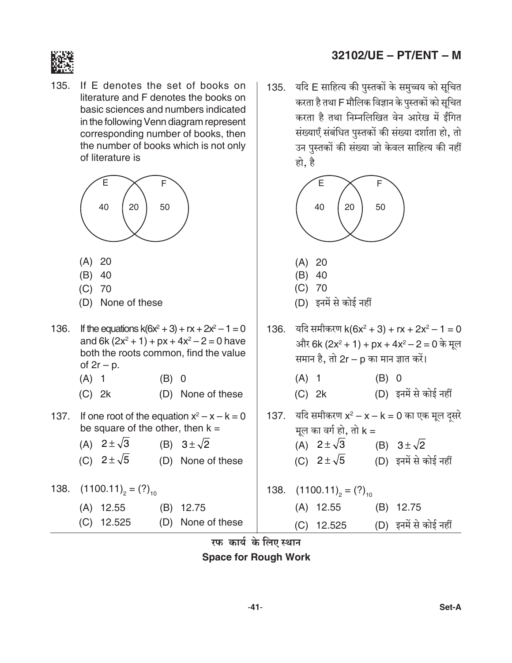

 $135.$ If E denotes the set of books on literature and F denotes the books on basic sciences and numbers indicated in the following Venn diagram represent corresponding number of books, then the number of books which is not only of literature is



- $(A) 20$
- $(B)$  40
- $(C)$  70
- (D) None of these
- If the equations  $k(6x^2 + 3) + rx + 2x^2 1 = 0$ 136. and 6k  $(2x^2 + 1) + px + 4x^2 - 2 = 0$  have both the roots common, find the value of  $2r - p$ .
	- $(A)$  1  $(B) 0$
	- (D) None of these  $(C)$  2k
- 137. If one root of the equation  $x^2 x k = 0$ be square of the other, then  $k =$ 
	- (A)  $2 \pm \sqrt{3}$ (B)  $3 \pm \sqrt{2}$
	- (C)  $2 \pm \sqrt{5}$ (D) None of these
- 138.  $(1100.11)_{2} = (?)_{10}$

| $(A)$ 12.55  | $(B)$ 12.75       |
|--------------|-------------------|
| $(C)$ 12.525 | (D) None of these |

# 32102/UE - PT/ENT - M

135. यदि E साहित्य की पुस्तकों के समुच्चय को सूचित करता है तथा F मौलिक विज्ञान के पुस्तकों को सूचित करता है तथा निम्नलिखित वेन आरेख में ईंगित संख्याएँ संबंधित पुस्तकों की संख्या दर्शाता हो, तो उन पुस्तकों की संख्या जो केवल साहित्य की नहीं हो. है



- $(A)$  20
- $(B)$  40
- $(C)$  70
- (D) इनमें से कोई नहीं
- 136. यदि समीकरण  $k(6x^2 + 3) + rx + 2x^2 1 = 0$ और 6k (2x<sup>2</sup> + 1) + px + 4x<sup>2</sup> - 2 = 0 के मूल समान है, तो 2r – p का मान ज्ञात करें।  $(A)$  1  $(B) 0$ (D) इनमें से कोई नहीं  $(C)$  2k 137. यदि समीकरण  $x^2 - x - k = 0$  का एक मूल दूसरे मूल का वर्ग हो, तो  $k =$ (A)  $2 \pm \sqrt{3}$  (B)  $3 \pm \sqrt{2}$ (C)  $2 \pm \sqrt{5}$ (D) इनमें से कोई नहीं 138.  $(1100.11)_{2} = (?)_{10}$  $(A)$  12.55 (B) 12.75 (D) इनमें से कोई नहीं  $(C)$  12.525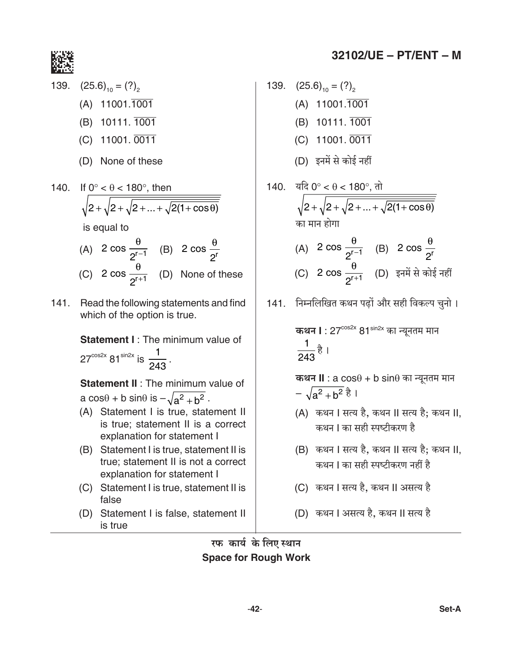

139.  $(25.6)_{10} = (?)$  $(A)$  11001.1001 (B) 10111. 1001  $(C)$  11001. 0011 (D) None of these 140. If  $0^\circ < \theta < 180^\circ$ , then  $\sqrt{2+\sqrt{2+\sqrt{2+...+\sqrt{2(1+\cos\theta)}}}}$ is equal to

# (A)  $2 \cos \frac{\theta}{2^{r-1}}$  (B)  $2 \cos \frac{\theta}{2^r}$ (C)  $2 \cos \frac{\theta}{2^{r+1}}$  (D) None of these

141. Read the following statements and find which of the option is true.

> **Statement I:** The minimum value of  $27^{\cos 2x}$  81<sup>sin2x</sup> is  $\frac{1}{243}$ .

Statement II : The minimum value of a cos $\theta$  + b sin $\theta$  is  $-\sqrt{a^2+b^2}$ .

- (A) Statement I is true, statement II is true: statement II is a correct explanation for statement I
- (B) Statement I is true, statement II is true: statement II is not a correct explanation for statement I
- (C) Statement I is true, statement II is false
- (D) Statement I is false, statement II is true

139. 
$$
(25.6)_{10} = (?)_{2}
$$
  
\n(A) 11001.1001  
\n(B) 10111.1001  
\n(C) 11001.0011  
\n(D)  $\overline{5}$ 77  $\overline{4}$   $\overline{1}$   $\overline{2}$   $\overline{3}$   $\overline{4}$   $\overline{5}$   $\overline{1}$   $\overline{5}$ 

140. 
$$
\frac{\text{tric} \cdot \text{er} \cdot \text{er} \cdot \text{er} \cdot \text{er} \cdot \text{er} \cdot \text{er} \cdot \text{er} \cdot \text{er} \cdot \text{er} \cdot \text{er} \cdot \text{er} \cdot \text{er} \cdot \text{er} \cdot \text{er} \cdot \text{er} \cdot \text{er} \cdot \text{er} \cdot \text{er} \cdot \text{er} \cdot \text{er} \cdot \text{er} \cdot \text{er} \cdot \text{er} \cdot \text{er} \cdot \text{er} \cdot \text{er} \cdot \text{er} \cdot \text{er} \cdot \text{er} \cdot \text{er} \cdot \text{er} \cdot \text{er} \cdot \text{er} \cdot \text{er} \cdot \text{er} \cdot \text{er} \cdot \text{er} \cdot \text{er} \cdot \text{er} \cdot \text{er} \cdot \text{er} \cdot \text{er} \cdot \text{er} \cdot \text{er} \cdot \text{er} \cdot \text{er} \cdot \text{er} \cdot \text{er} \cdot \text{er} \cdot \text{er} \cdot \text{er} \cdot \text{er} \cdot \text{er} \cdot \text{er} \cdot \text{er} \cdot \text{er} \cdot \text{er} \cdot \text{er} \cdot \text{er} \cdot \text{er} \cdot \text{er} \cdot \text{er} \cdot \text{er} \cdot \text{er} \cdot \text{er} \cdot \text{er} \cdot \text{er} \cdot \text{er} \cdot \text{er} \cdot \text{er} \cdot \text{er} \cdot \text{er} \cdot \text{er} \cdot \text{er} \cdot \text{er} \cdot \text{er} \cdot \text{er} \cdot \text{er} \cdot \text{er} \cdot \text{er} \cdot \text{er} \cdot \text{er} \cdot \text{er} \cdot \text{er} \cdot \text{er} \cdot \text{er} \cdot \text{er} \cdot \text{er} \cdot \text{er} \cdot \text{er} \cdot \text{er} \cdot \text{er} \cdot \text{er} \cdot \text{er} \cdot \text{er} \cdot \text{er} \cdot \text{er} \cdot \text{er} \cdot \text{er} \cdot \text{er} \cdot \text{er} \cdot \text{er} \cdot \text{er} \cdot \text{er} \cdot \text{er} \cdot \text{er} \cdot \text{er} \cdot
$$

141. निम्नलिखित कथन पढ़ों और सही विकल्प चुनो।

**कथन II** : a  $cos\theta$  + b  $sin\theta$  का न्यूनतम मान  $-\sqrt{a^2+b^2}$   $\frac{3}{6}$  1

- (A) कथन । सत्य है, कथन ।। सत्य है; कथन ।।, कथन। का सही स्पष्टीकरण है
- (B) कथन । सत्य है. कथन ॥ सत्य है: कथन ॥. कथन । का सही स्पष्टीकरण नहीं है
- (C) कथन । सत्य है, कथन ।। असत्य है
- (D) कथन । असत्य है, कथन ।। सत्य है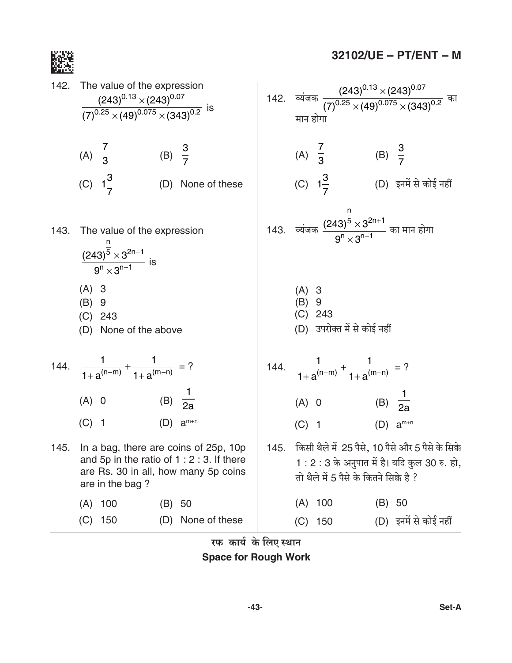

 $32102/UE - PT/ENT - M$ 

142. The value of the expression  
\n
$$
\frac{(243)^{0.13} \times (243)^{0.07}}{(7)^{0.25} \times (49)^{0.075} \times (343)^{0.2}}
$$
 is  
\n(A)  $\frac{7}{3}$  (B)  $\frac{3}{7}$  (C)  $1\frac{3}{7}$  (D) None of these  
\n143. The value of the expression  
\n
$$
\frac{(243)^{5} \times 3^{2n+1}}{9^{n} \times 3^{n-1}}
$$
 is  
\n(A) 3 (B) 9  
\n(C) 243 (C) 243 (D) None of the above  
\n144.  $\frac{1}{1+a^{(n-m)}} + \frac{1}{1+a^{(m-n)}} = ?$   
\n(A) 0 (B)  $\frac{1}{2a}$  (A) 0 (B)  $\frac{1}{2a}$   
\n145. In a bag, there are coins of 25p, 10p  
\nand 5p in the ratio of 1 : 2 : 3. If there  
\nare in the bag ?  
\n(A) 100 (B) 50  
\n(C) 150 (D) None of these  
\n147.  $\frac{1}{1+2^{(n-m)}} + \frac{1}{1+2^{(n-m)}} = ?$   
\n(A) 0 (B) 50  
\n(A) 100 (B) 50  
\n(A) 100 (B) 50  
\n(A) 100 (B) 50  
\n(A) 100 (B) 50  
\n(A) 100 (B) 50  
\n(B) 9  
\n(A) 100 (B) 50  
\n(C) 150 (D) None of these  
\n147.  $\frac{1}{1+2^{(n-m)}} + \frac{1}{1+2^{(n-m)}} = ?$   
\n28.  $\frac{3}{1+2^{(n-m)}} + \frac{1}{1+2^{(n-m)}} = ?$   
\n39.  $\frac{1}{1+2^{(n-m)}} + \frac{1}{1+2^{(n-m)}} = ?$   
\n30.  $\frac{1}{1+2^{(n-m)}} + \frac{1}{1+2^{(n-m)}}$   
\n31.  $\frac{1}{1+2^{(n-m)}} + \frac{1}{1+2^{(n-m)}}$   
\n32.  $\frac{1$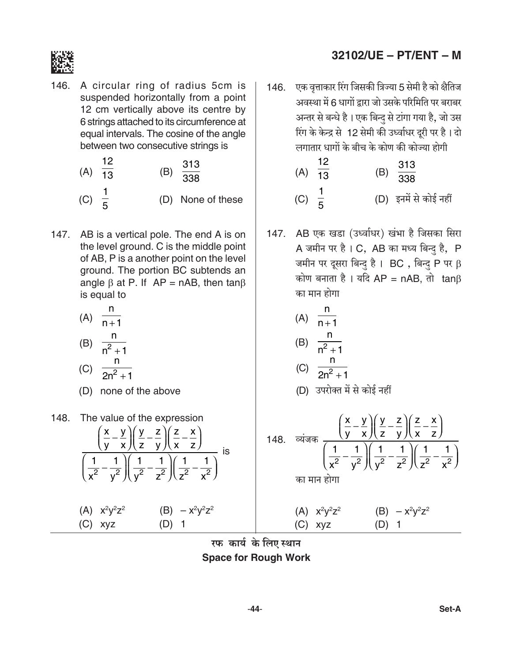

146. A circular ring of radius 5cm is suspended horizontally from a point 12 cm vertically above its centre by 6 strings attached to its circumference at equal intervals. The cosine of the angle between two consecutive strings is

(A) 
$$
\frac{12}{13}
$$
 (B)  $\frac{313}{338}$   
(C)  $\frac{1}{5}$  (D) None of these

147. AB is a vertical pole. The end A is on the level ground. C is the middle point of AB, P is a another point on the level ground. The portion BC subtends an angle  $\beta$  at P. If AP = nAB, then tan $\beta$ is equal to

$$
(A) \frac{n}{n+1}
$$
\n
$$
(B) \frac{n}{n+1}
$$

$$
\begin{array}{c}\n(D) & n^2 + 1 \\
(n) & \frac{n}{2}\n\end{array}
$$

$$
2n^2+1
$$

- (D) none of the above
- 148. The value of the expression  $\left(\frac{x}{y} - \frac{y}{x}\right)\left(\frac{y}{z} - \frac{z}{y}\right)\left(\frac{z}{x} - \frac{x}{z}\right)$  $\frac{1}{\left(\frac{1}{x^2} - \frac{1}{v^2}\right)} \left(\frac{1}{v^2} - \frac{1}{z^2}\right) \left(\frac{1}{z^2} - \frac{1}{x^2}\right)$ (A)  $x^2y^2z^2$ (B)  $-x^2y^2z^2$  $(C)$  xyz  $(D)$  1

# 32102/UE - PT/ENT - M

- 146. एक वृत्ताकार रिंग जिसकी त्रिज्या 5 सेमी है को क्षैतिज अवस्था में 6 धागों द्रारा जो उसके परिमिति पर बराबर अन्तर से बन्धे है। एक बिन्दु से टांगा गया है, जो उस रिंग के केन्द्र से 12 सेमी की उर्ध्वाधर दूरी पर है। दो लगातार धागों के बीच के कोण की कोज्या होगी
	- $12$ (B)  $\frac{313}{338}$  $(A)$   $\overline{13}$ (C)  $\frac{1}{5}$ (D) इनमें से कोई नहीं
- 147. AB एक खडा (उर्ध्वाधर) खंभा है जिसका सिरा A जमीन पर है। C, AB का मध्य बिन्दु है, P जमीन पर दूसरा बिन्दु है। BC, बिन्दु P पर  $\beta$ कोण बनाता है। यदि AP = nAB, तो  $tan\beta$ का मान होगा

(A) 
$$
\frac{n}{n+1}
$$
  
\n(B)  $\frac{n}{n^2+1}$   
\n(C)  $\frac{n}{2n^2+1}$ 

148. 
$$
\frac{\left(\frac{x}{y} - \frac{y}{x}\right)\left(\frac{y}{z} - \frac{z}{y}\right)\left(\frac{z}{x} - \frac{x}{z}\right)}{\left(\frac{1}{x^2} - \frac{1}{y^2}\right)\left(\frac{1}{y^2} - \frac{1}{z^2}\right)\left(\frac{1}{z^2} - \frac{1}{x^2}\right)}
$$
  
\nIn 41. 
$$
\frac{1}{x^2} = \frac{1}{x^2}
$$
  
\n(A) 
$$
x^2y^2z^2
$$
  
\n(B) 
$$
-x^2y^2z^2
$$
  
\n(C) 
$$
xyz
$$
  
\n(D) 1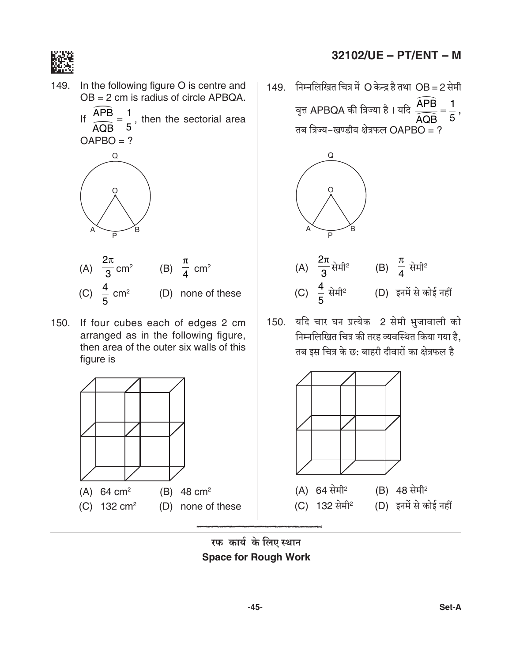

- 149. In the following figure O is centre and  $OB = 2$  cm is radius of circle APBQA.
	- If  $\frac{\widehat{APB}}{\widehat{AOB}} = \frac{1}{5}$ , then the sectorial area  $OAPBO = ?$



- (A)  $\frac{2\pi}{3}$  cm<sup>2</sup> (B)  $\frac{\pi}{4}$  cm<sup>2</sup> (C)  $\frac{4}{5}$  cm<sup>2</sup> (D) none of these
- 150. If four cubes each of edges 2 cm arranged as in the following figure, then area of the outer six walls of this figure is



- 32102/UE PT/ENT M
- 149. निम्नलिखित चित्र में O केन्द्र है तथा OB = 2 सेमी वृत्त APBQA की त्रिज्या है । यदि  $\frac{\widehat{APB}}{\widehat{APB}} = \frac{1}{5}$ , तब त्रिज्य-खण्डीय क्षेत्रफल  $OAPBO = ?$



150. यदि चार घन प्रत्येक 2 सेमी भुजावाली को निम्नलिखित चित्र की तरह व्यवस्थित किया गया है, तब इस चित्र के छ: बाहरी दीवारों का क्षेत्रफल है



रफ कार्य के लिए स्थान **Space for Rough Work**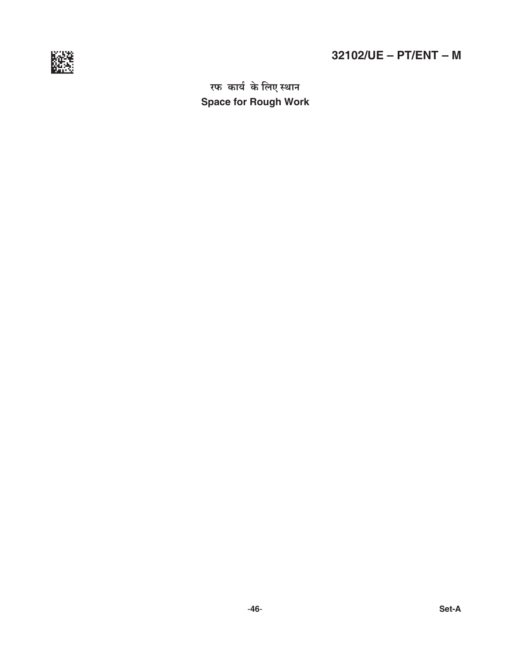

# $32102/UE - PT/ENT - M$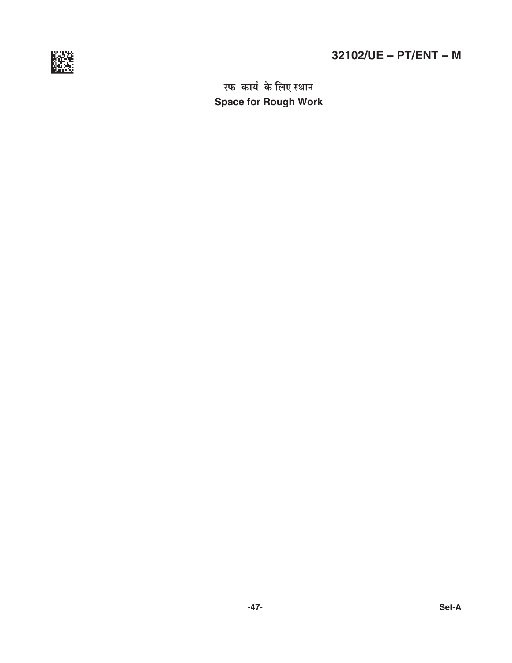

# **32102/UE – PT/ENT – M**

*a\\$ H\$m`© Ho\$ {bE ñWmZ* **Space for Rough Work**